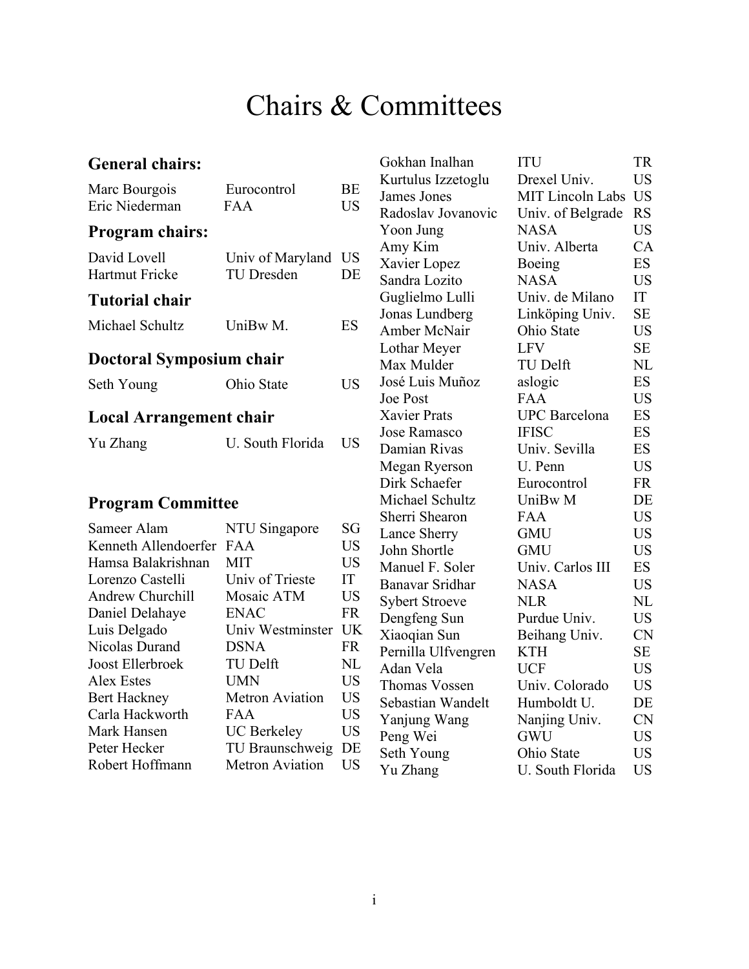#### Chairs & Committees

#### <span id="page-0-0"></span>**General chairs:**

| Marc Bourgois<br>Eric Niederman       | Eurocontrol<br><b>FAA</b>             | BE<br><b>US</b> |
|---------------------------------------|---------------------------------------|-----------------|
| <b>Program chairs:</b>                |                                       |                 |
| David Lovell<br><b>Hartmut Fricke</b> | Univ of Maryland<br><b>TU Dresden</b> | <b>US</b><br>DE |
| Tutorial chair                        |                                       |                 |
| Michael Schultz                       | UniBw M.                              | ES              |
| Doctoral Symposium chair              |                                       |                 |
| Seth Young                            | Ohio State                            | US              |
| <b>Local Arrangement chair</b>        |                                       |                 |
| Yu Zhang                              | U. South Florida                      | US              |
|                                       |                                       |                 |
| <b>Program Committee</b>              |                                       |                 |
| Sameer Alam                           | NTU Singapore                         | SG              |
| Kenneth Allendoerfer                  | <b>FAA</b>                            | <b>US</b>       |
| Hamsa Balakrishnan                    | <b>MIT</b>                            | <b>US</b>       |
| Lorenzo Castelli                      | Univ of Trieste                       | IT              |
| <b>Andrew Churchill</b>               | Mosaic ATM                            | <b>US</b>       |
| Daniel Delahaye                       | <b>ENAC</b>                           | <b>FR</b>       |
| Luis Delgado                          | Univ Westminster                      | UK              |
| Nicolas Durand                        | DSNA                                  | FR              |

Joost Ellerbroek TU Delft NL Alex Estes UMN US<br>Bert Hackney Metron Aviation US

Carla Hackworth FAA US Mark Hansen UC Berkeley US Peter Hecker TU Braunschweig DE Robert Hoffmann Metron Aviation US

Metron Aviation

| Gokhan Inalhan                                                                                                                                                                                               |                                                                                                                                      | <b>TR</b>                                                                                                  |
|--------------------------------------------------------------------------------------------------------------------------------------------------------------------------------------------------------------|--------------------------------------------------------------------------------------------------------------------------------------|------------------------------------------------------------------------------------------------------------|
|                                                                                                                                                                                                              | ITU                                                                                                                                  |                                                                                                            |
| Kurtulus Izzetoglu                                                                                                                                                                                           | Drexel Univ.                                                                                                                         | <b>US</b>                                                                                                  |
| James Jones                                                                                                                                                                                                  | <b>MIT Lincoln Labs</b>                                                                                                              | <b>US</b>                                                                                                  |
| Radoslav Jovanovic                                                                                                                                                                                           | Univ. of Belgrade                                                                                                                    | <b>RS</b>                                                                                                  |
| Yoon Jung                                                                                                                                                                                                    | <b>NASA</b>                                                                                                                          | <b>US</b>                                                                                                  |
| Amy Kim                                                                                                                                                                                                      | Univ. Alberta                                                                                                                        | CA                                                                                                         |
| Xavier Lopez                                                                                                                                                                                                 | Boeing                                                                                                                               | <b>ES</b>                                                                                                  |
| Sandra Lozito                                                                                                                                                                                                | <b>NASA</b>                                                                                                                          | <b>US</b>                                                                                                  |
| Guglielmo Lulli                                                                                                                                                                                              | Univ. de Milano                                                                                                                      | IT                                                                                                         |
| Jonas Lundberg                                                                                                                                                                                               | Linköping Univ.                                                                                                                      | <b>SE</b>                                                                                                  |
| <b>Amber McNair</b>                                                                                                                                                                                          | Ohio State                                                                                                                           | <b>US</b>                                                                                                  |
| Lothar Meyer                                                                                                                                                                                                 | <b>LFV</b>                                                                                                                           | <b>SE</b>                                                                                                  |
| Max Mulder                                                                                                                                                                                                   | <b>TU Delft</b>                                                                                                                      | NL                                                                                                         |
| José Luis Muñoz                                                                                                                                                                                              | aslogic                                                                                                                              | <b>ES</b>                                                                                                  |
| <b>Joe Post</b>                                                                                                                                                                                              | <b>FAA</b>                                                                                                                           | <b>US</b>                                                                                                  |
| <b>Xavier Prats</b>                                                                                                                                                                                          | <b>UPC</b> Barcelona                                                                                                                 | <b>ES</b>                                                                                                  |
| <b>Jose Ramasco</b>                                                                                                                                                                                          | <b>IFISC</b>                                                                                                                         | <b>ES</b>                                                                                                  |
| Damian Rivas                                                                                                                                                                                                 | Univ. Sevilla                                                                                                                        | ES                                                                                                         |
| Megan Ryerson                                                                                                                                                                                                | U. Penn                                                                                                                              | <b>US</b>                                                                                                  |
| Dirk Schaefer                                                                                                                                                                                                | Eurocontrol                                                                                                                          | <b>FR</b>                                                                                                  |
| Michael Schultz                                                                                                                                                                                              | UniBw M                                                                                                                              | DE                                                                                                         |
| Sherri Shearon                                                                                                                                                                                               | FAA                                                                                                                                  | <b>US</b>                                                                                                  |
|                                                                                                                                                                                                              | GMU                                                                                                                                  | <b>US</b>                                                                                                  |
| John Shortle                                                                                                                                                                                                 | <b>GMU</b>                                                                                                                           | <b>US</b>                                                                                                  |
| Manuel F. Soler                                                                                                                                                                                              | Univ. Carlos III                                                                                                                     | <b>ES</b>                                                                                                  |
| Banavar Sridhar                                                                                                                                                                                              | <b>NASA</b>                                                                                                                          | <b>US</b>                                                                                                  |
|                                                                                                                                                                                                              | <b>NLR</b>                                                                                                                           | NL                                                                                                         |
|                                                                                                                                                                                                              | Purdue Univ.                                                                                                                         | <b>US</b>                                                                                                  |
|                                                                                                                                                                                                              |                                                                                                                                      |                                                                                                            |
|                                                                                                                                                                                                              |                                                                                                                                      |                                                                                                            |
|                                                                                                                                                                                                              |                                                                                                                                      |                                                                                                            |
|                                                                                                                                                                                                              |                                                                                                                                      |                                                                                                            |
|                                                                                                                                                                                                              |                                                                                                                                      |                                                                                                            |
|                                                                                                                                                                                                              |                                                                                                                                      |                                                                                                            |
|                                                                                                                                                                                                              |                                                                                                                                      |                                                                                                            |
|                                                                                                                                                                                                              |                                                                                                                                      |                                                                                                            |
|                                                                                                                                                                                                              |                                                                                                                                      |                                                                                                            |
| Lance Sherry<br><b>Sybert Stroeve</b><br>Dengfeng Sun<br>Xiaoqian Sun<br>Pernilla Ulfvengren<br>Adan Vela<br><b>Thomas Vossen</b><br>Sebastian Wandelt<br>Yanjung Wang<br>Peng Wei<br>Seth Young<br>Yu Zhang | Beihang Univ.<br><b>KTH</b><br><b>UCF</b><br>Univ. Colorado<br>Humboldt U.<br>Nanjing Univ.<br>GWU<br>Ohio State<br>U. South Florida | <b>CN</b><br><b>SE</b><br><b>US</b><br><b>US</b><br>DE<br><b>CN</b><br><b>US</b><br><b>US</b><br><b>US</b> |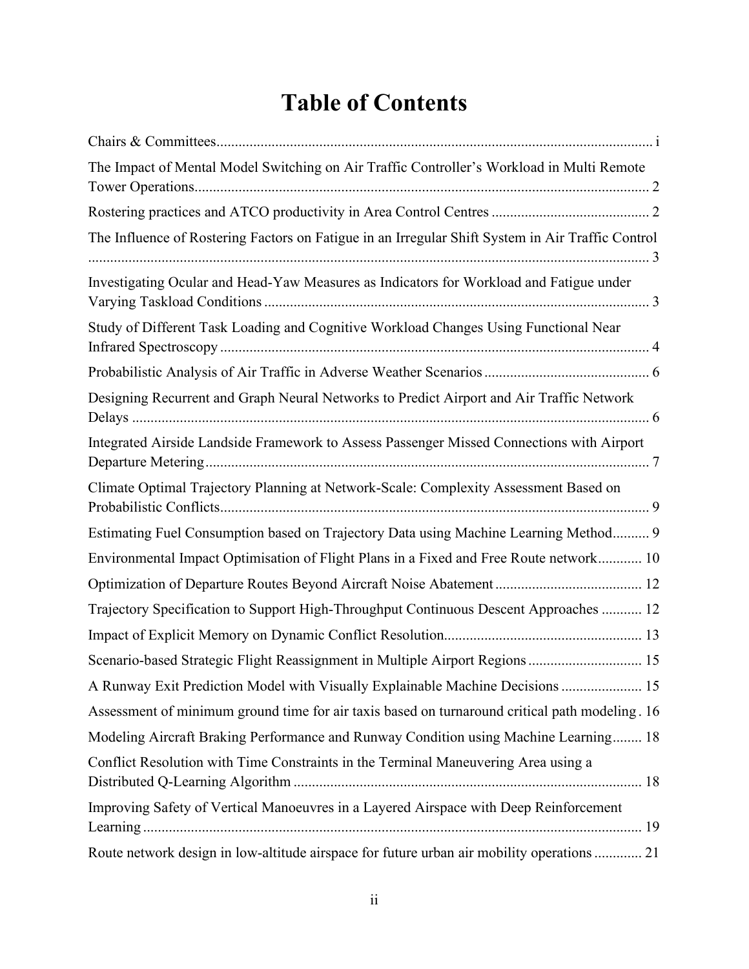#### **Table of Contents**

| The Impact of Mental Model Switching on Air Traffic Controller's Workload in Multi Remote         |
|---------------------------------------------------------------------------------------------------|
|                                                                                                   |
| The Influence of Rostering Factors on Fatigue in an Irregular Shift System in Air Traffic Control |
| Investigating Ocular and Head-Yaw Measures as Indicators for Workload and Fatigue under           |
| Study of Different Task Loading and Cognitive Workload Changes Using Functional Near              |
|                                                                                                   |
| Designing Recurrent and Graph Neural Networks to Predict Airport and Air Traffic Network          |
| Integrated Airside Landside Framework to Assess Passenger Missed Connections with Airport         |
| Climate Optimal Trajectory Planning at Network-Scale: Complexity Assessment Based on              |
| Estimating Fuel Consumption based on Trajectory Data using Machine Learning Method 9              |
| Environmental Impact Optimisation of Flight Plans in a Fixed and Free Route network 10            |
|                                                                                                   |
| Trajectory Specification to Support High-Throughput Continuous Descent Approaches  12             |
|                                                                                                   |
| Scenario-based Strategic Flight Reassignment in Multiple Airport Regions  15                      |
| A Runway Exit Prediction Model with Visually Explainable Machine Decisions  15                    |
| Assessment of minimum ground time for air taxis based on turnaround critical path modeling. 16    |
| Modeling Aircraft Braking Performance and Runway Condition using Machine Learning 18              |
| Conflict Resolution with Time Constraints in the Terminal Maneuvering Area using a                |
| Improving Safety of Vertical Manoeuvres in a Layered Airspace with Deep Reinforcement             |
| Route network design in low-altitude airspace for future urban air mobility operations  21        |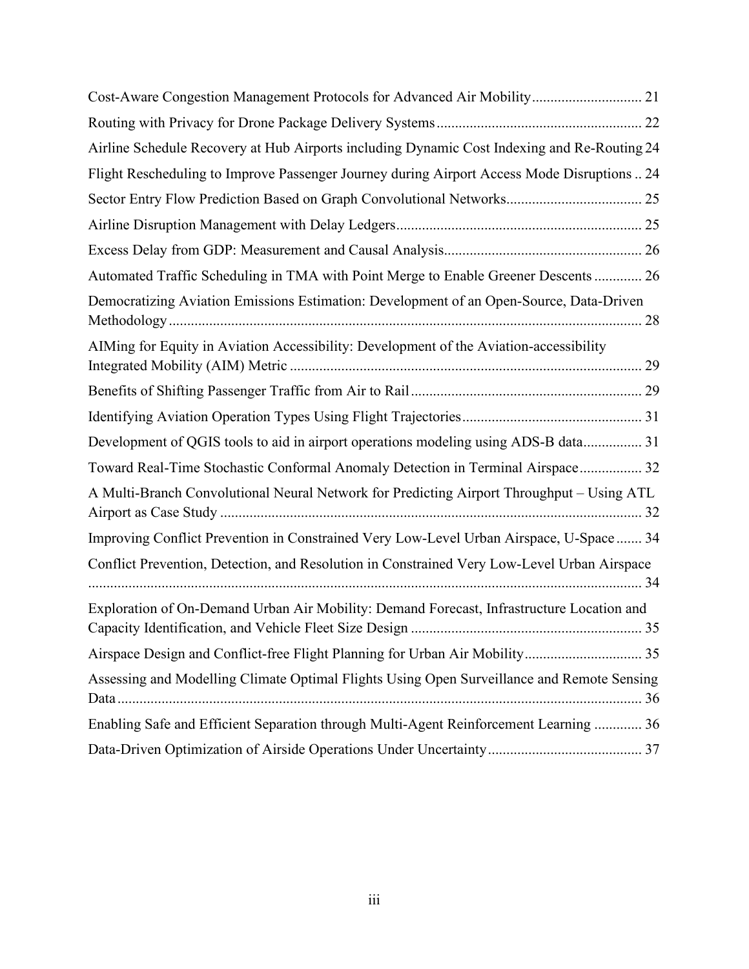| Cost-Aware Congestion Management Protocols for Advanced Air Mobility 21                     |
|---------------------------------------------------------------------------------------------|
|                                                                                             |
| Airline Schedule Recovery at Hub Airports including Dynamic Cost Indexing and Re-Routing 24 |
| Flight Rescheduling to Improve Passenger Journey during Airport Access Mode Disruptions  24 |
| Sector Entry Flow Prediction Based on Graph Convolutional Networks 25                       |
|                                                                                             |
|                                                                                             |
| Automated Traffic Scheduling in TMA with Point Merge to Enable Greener Descents  26         |
| Democratizing Aviation Emissions Estimation: Development of an Open-Source, Data-Driven     |
| AIMing for Equity in Aviation Accessibility: Development of the Aviation-accessibility      |
|                                                                                             |
|                                                                                             |
| Development of QGIS tools to aid in airport operations modeling using ADS-B data 31         |
| Toward Real-Time Stochastic Conformal Anomaly Detection in Terminal Airspace 32             |
| A Multi-Branch Convolutional Neural Network for Predicting Airport Throughput - Using ATL   |
| Improving Conflict Prevention in Constrained Very Low-Level Urban Airspace, U-Space  34     |
| Conflict Prevention, Detection, and Resolution in Constrained Very Low-Level Urban Airspace |
| Exploration of On-Demand Urban Air Mobility: Demand Forecast, Infrastructure Location and   |
| Airspace Design and Conflict-free Flight Planning for Urban Air Mobility 35                 |
| Assessing and Modelling Climate Optimal Flights Using Open Surveillance and Remote Sensing  |
| Enabling Safe and Efficient Separation through Multi-Agent Reinforcement Learning  36       |
|                                                                                             |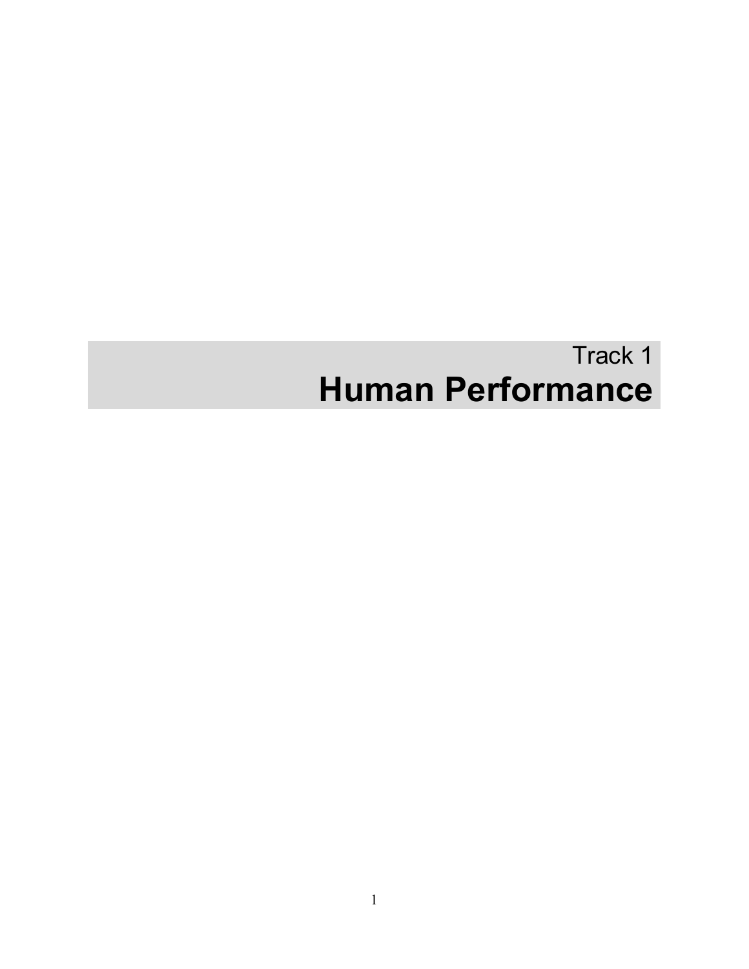## Track 1 **Human Performance**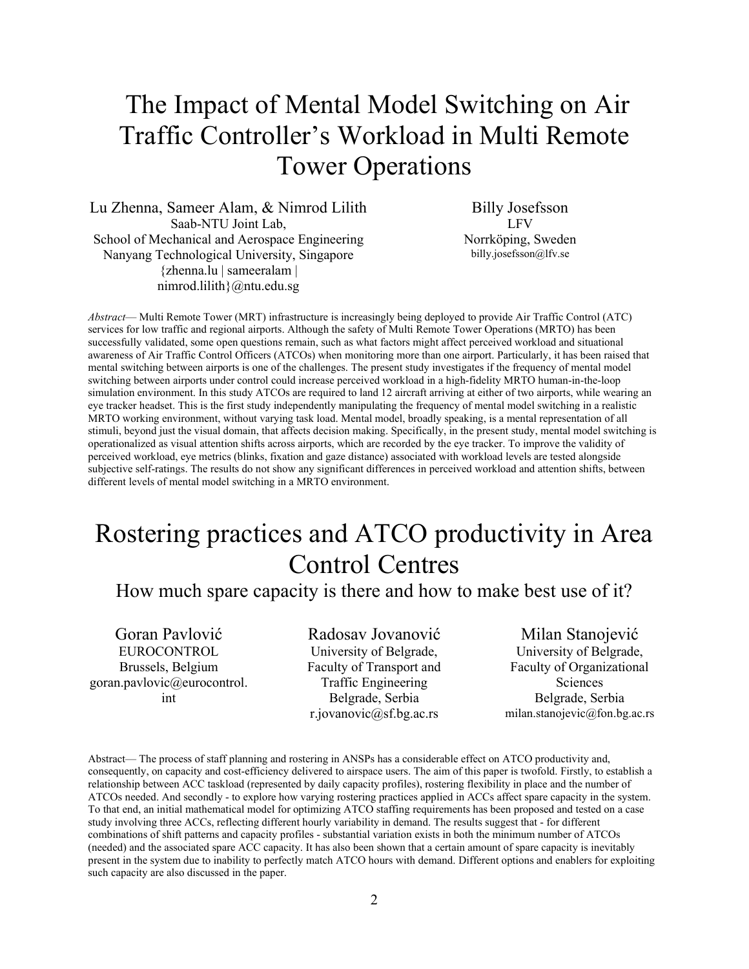#### <span id="page-4-0"></span>The Impact of Mental Model Switching on Air Traffic Controller's Workload in Multi Remote Tower Operations

Lu Zhenna, Sameer Alam, & Nimrod Lilith Saab-NTU Joint Lab, School of Mechanical and Aerospace Engineering Nanyang Technological University, Singapore {zhenna.lu | sameeralam | nimrod.lilith}@ntu.edu.sg

Billy Josefsson LFV Norrköping, Sweden billy.josefsson@lfv.se

*Abstract*— Multi Remote Tower (MRT) infrastructure is increasingly being deployed to provide Air Traffic Control (ATC) services for low traffic and regional airports. Although the safety of Multi Remote Tower Operations (MRTO) has been successfully validated, some open questions remain, such as what factors might affect perceived workload and situational awareness of Air Traffic Control Officers (ATCOs) when monitoring more than one airport. Particularly, it has been raised that mental switching between airports is one of the challenges. The present study investigates if the frequency of mental model switching between airports under control could increase perceived workload in a high-fidelity MRTO human-in-the-loop simulation environment. In this study ATCOs are required to land 12 aircraft arriving at either of two airports, while wearing an eye tracker headset. This is the first study independently manipulating the frequency of mental model switching in a realistic MRTO working environment, without varying task load. Mental model, broadly speaking, is a mental representation of all stimuli, beyond just the visual domain, that affects decision making. Specifically, in the present study, mental model switching is operationalized as visual attention shifts across airports, which are recorded by the eye tracker. To improve the validity of perceived workload, eye metrics (blinks, fixation and gaze distance) associated with workload levels are tested alongside subjective self-ratings. The results do not show any significant differences in perceived workload and attention shifts, between different levels of mental model switching in a MRTO environment.

#### <span id="page-4-1"></span>Rostering practices and ATCO productivity in Area Control Centres

How much spare capacity is there and how to make best use of it?

Goran Pavlović EUROCONTROL Brussels, Belgium goran.pavlovic@eurocontrol. int

Radosav Jovanović University of Belgrade, Faculty of Transport and Traffic Engineering Belgrade, Serbia r.jovanovic@sf.bg.ac.rs

Milan Stanojević University of Belgrade, Faculty of Organizational Sciences Belgrade, Serbia milan.stanojevic@fon.bg.ac.rs

Abstract— The process of staff planning and rostering in ANSPs has a considerable effect on ATCO productivity and, consequently, on capacity and cost-efficiency delivered to airspace users. The aim of this paper is twofold. Firstly, to establish a relationship between ACC taskload (represented by daily capacity profiles), rostering flexibility in place and the number of ATCOs needed. And secondly - to explore how varying rostering practices applied in ACCs affect spare capacity in the system. To that end, an initial mathematical model for optimizing ATCO staffing requirements has been proposed and tested on a case study involving three ACCs, reflecting different hourly variability in demand. The results suggest that - for different combinations of shift patterns and capacity profiles - substantial variation exists in both the minimum number of ATCOs (needed) and the associated spare ACC capacity. It has also been shown that a certain amount of spare capacity is inevitably present in the system due to inability to perfectly match ATCO hours with demand. Different options and enablers for exploiting such capacity are also discussed in the paper.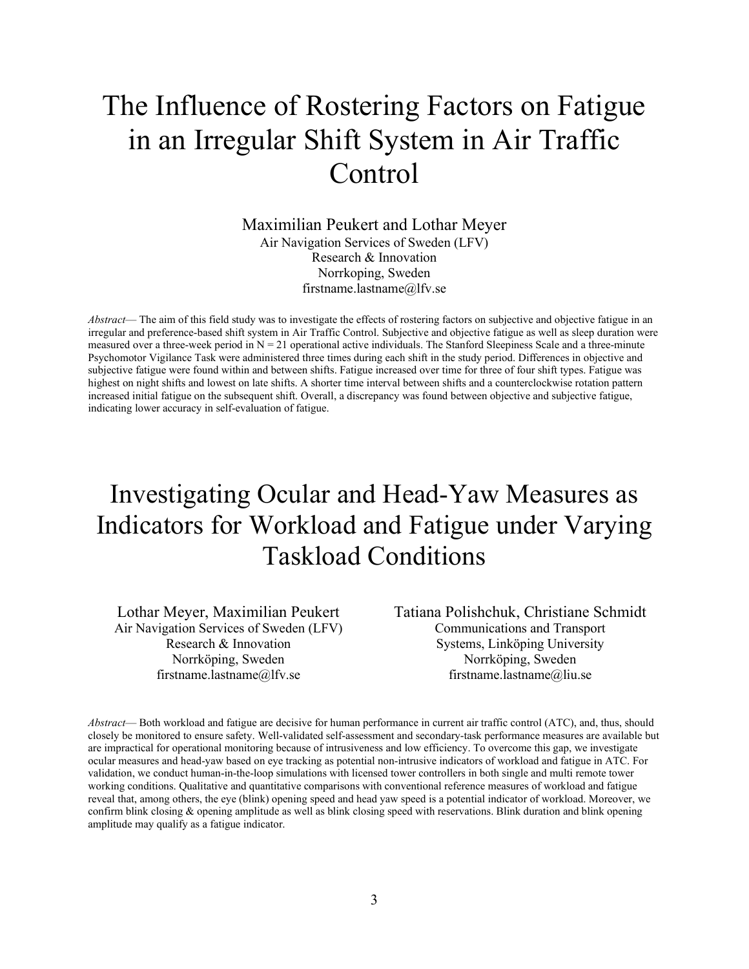### <span id="page-5-0"></span>The Influence of Rostering Factors on Fatigue in an Irregular Shift System in Air Traffic **Control**

Maximilian Peukert and Lothar Meyer Air Navigation Services of Sweden (LFV) Research & Innovation Norrkoping, Sweden firstname.lastname@lfv.se

*Abstract*— The aim of this field study was to investigate the effects of rostering factors on subjective and objective fatigue in an irregular and preference-based shift system in Air Traffic Control. Subjective and objective fatigue as well as sleep duration were measured over a three-week period in  $N = 21$  operational active individuals. The Stanford Sleepiness Scale and a three-minute Psychomotor Vigilance Task were administered three times during each shift in the study period. Differences in objective and subjective fatigue were found within and between shifts. Fatigue increased over time for three of four shift types. Fatigue was highest on night shifts and lowest on late shifts. A shorter time interval between shifts and a counterclockwise rotation pattern increased initial fatigue on the subsequent shift. Overall, a discrepancy was found between objective and subjective fatigue, indicating lower accuracy in self-evaluation of fatigue.

#### <span id="page-5-1"></span>Investigating Ocular and Head-Yaw Measures as Indicators for Workload and Fatigue under Varying Taskload Conditions

Lothar Meyer, Maximilian Peukert Air Navigation Services of Sweden (LFV) Research & Innovation Norrköping, Sweden firstname.lastname@lfv.se

Tatiana Polishchuk, Christiane Schmidt Communications and Transport Systems, Linköping University Norrköping, Sweden firstname.lastname@liu.se

*Abstract*— Both workload and fatigue are decisive for human performance in current air traffic control (ATC), and, thus, should closely be monitored to ensure safety. Well-validated self-assessment and secondary-task performance measures are available but are impractical for operational monitoring because of intrusiveness and low efficiency. To overcome this gap, we investigate ocular measures and head-yaw based on eye tracking as potential non-intrusive indicators of workload and fatigue in ATC. For validation, we conduct human-in-the-loop simulations with licensed tower controllers in both single and multi remote tower working conditions. Qualitative and quantitative comparisons with conventional reference measures of workload and fatigue reveal that, among others, the eye (blink) opening speed and head yaw speed is a potential indicator of workload. Moreover, we confirm blink closing & opening amplitude as well as blink closing speed with reservations. Blink duration and blink opening amplitude may qualify as a fatigue indicator.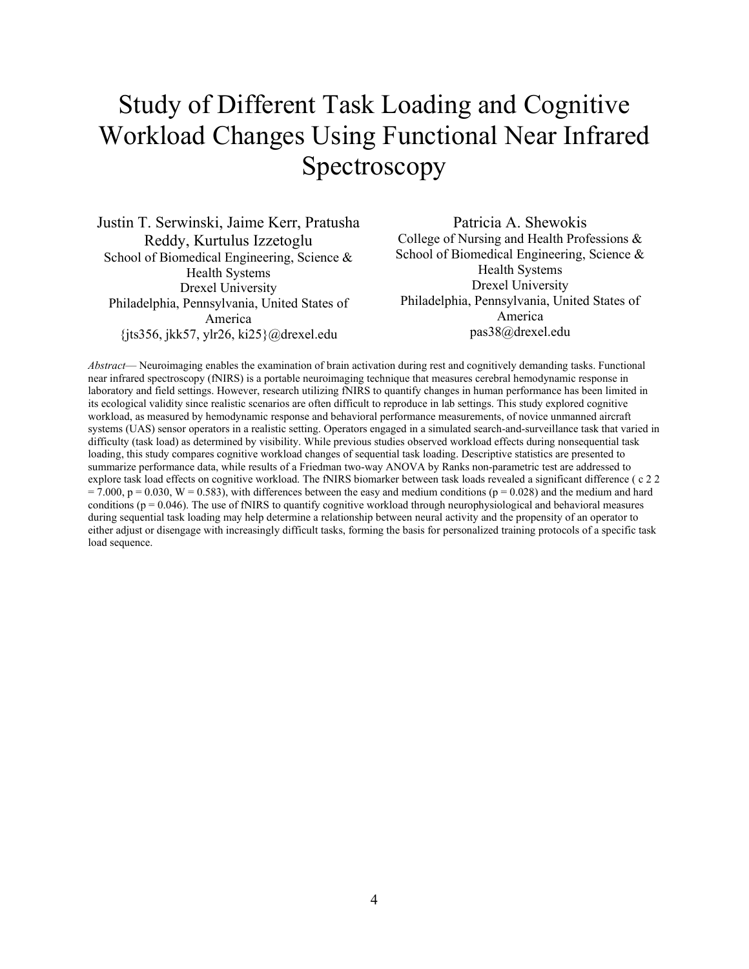#### <span id="page-6-0"></span>Study of Different Task Loading and Cognitive Workload Changes Using Functional Near Infrared Spectroscopy

Justin T. Serwinski, Jaime Kerr, Pratusha Reddy, Kurtulus Izzetoglu School of Biomedical Engineering, Science & Health Systems Drexel University Philadelphia, Pennsylvania, United States of America {jts356, jkk57, ylr26, ki25}@drexel.edu

Patricia A. Shewokis College of Nursing and Health Professions & School of Biomedical Engineering, Science & Health Systems Drexel University Philadelphia, Pennsylvania, United States of America pas38@drexel.edu

*Abstract*— Neuroimaging enables the examination of brain activation during rest and cognitively demanding tasks. Functional near infrared spectroscopy (fNIRS) is a portable neuroimaging technique that measures cerebral hemodynamic response in laboratory and field settings. However, research utilizing fNIRS to quantify changes in human performance has been limited in its ecological validity since realistic scenarios are often difficult to reproduce in lab settings. This study explored cognitive workload, as measured by hemodynamic response and behavioral performance measurements, of novice unmanned aircraft systems (UAS) sensor operators in a realistic setting. Operators engaged in a simulated search-and-surveillance task that varied in difficulty (task load) as determined by visibility. While previous studies observed workload effects during nonsequential task loading, this study compares cognitive workload changes of sequential task loading. Descriptive statistics are presented to summarize performance data, while results of a Friedman two-way ANOVA by Ranks non-parametric test are addressed to explore task load effects on cognitive workload. The fNIRS biomarker between task loads revealed a significant difference ( c 2 2  $= 7.000$ ,  $p = 0.030$ ,  $W = 0.583$ ), with differences between the easy and medium conditions ( $p = 0.028$ ) and the medium and hard conditions ( $p = 0.046$ ). The use of fNIRS to quantify cognitive workload through neurophysiological and behavioral measures during sequential task loading may help determine a relationship between neural activity and the propensity of an operator to either adjust or disengage with increasingly difficult tasks, forming the basis for personalized training protocols of a specific task load sequence.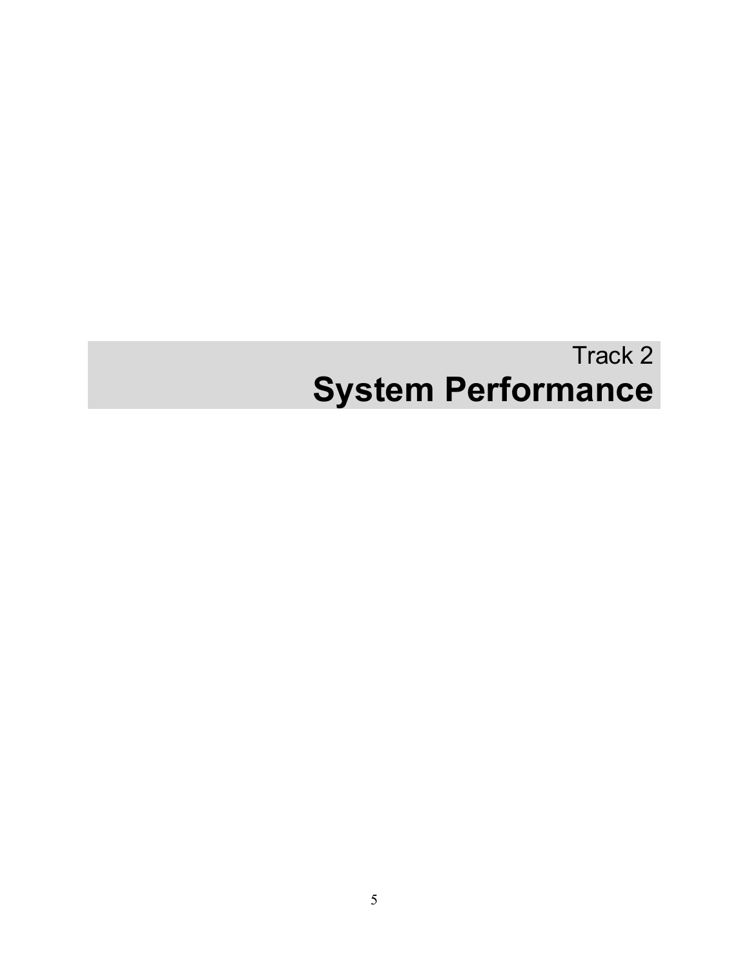# Track 2 **System Performance**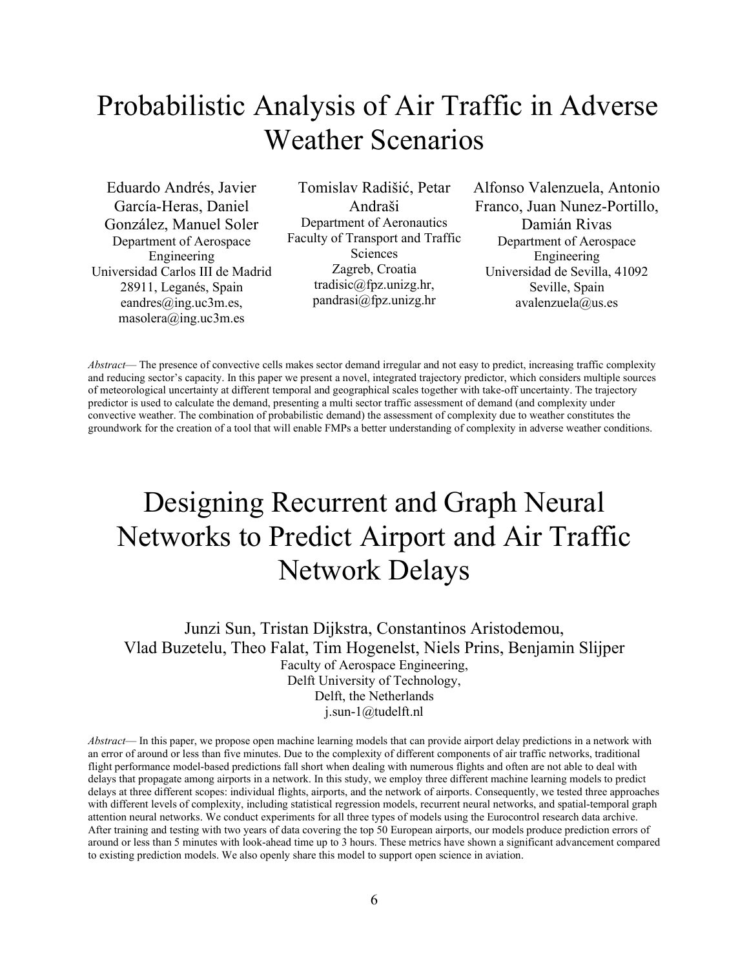#### <span id="page-8-0"></span>Probabilistic Analysis of Air Traffic in Adverse Weather Scenarios

Eduardo Andrés, Javier García-Heras, Daniel González, Manuel Soler Department of Aerospace Engineering Universidad Carlos III de Madrid 28911, Leganés, Spain eandres@ing.uc3m.es, masolera@ing.uc3m.es

Tomislav Radišić, Petar Andraši Department of Aeronautics Faculty of Transport and Traffic Sciences Zagreb, Croatia tradisic@fpz.unizg.hr, pandrasi@fpz.unizg.hr

Alfonso Valenzuela, Antonio Franco, Juan Nunez-Portillo, Damián Rivas Department of Aerospace Engineering Universidad de Sevilla, 41092 Seville, Spain avalenzuela@us.es

*Abstract*— The presence of convective cells makes sector demand irregular and not easy to predict, increasing traffic complexity and reducing sector's capacity. In this paper we present a novel, integrated trajectory predictor, which considers multiple sources of meteorological uncertainty at different temporal and geographical scales together with take-off uncertainty. The trajectory predictor is used to calculate the demand, presenting a multi sector traffic assessment of demand (and complexity under convective weather. The combination of probabilistic demand) the assessment of complexity due to weather constitutes the groundwork for the creation of a tool that will enable FMPs a better understanding of complexity in adverse weather conditions.

## <span id="page-8-1"></span>Designing Recurrent and Graph Neural Networks to Predict Airport and Air Traffic Network Delays

Junzi Sun, Tristan Dijkstra, Constantinos Aristodemou, Vlad Buzetelu, Theo Falat, Tim Hogenelst, Niels Prins, Benjamin Slijper Faculty of Aerospace Engineering, Delft University of Technology, Delft, the Netherlands j.sun-1@tudelft.nl

*Abstract*— In this paper, we propose open machine learning models that can provide airport delay predictions in a network with an error of around or less than five minutes. Due to the complexity of different components of air traffic networks, traditional flight performance model-based predictions fall short when dealing with numerous flights and often are not able to deal with delays that propagate among airports in a network. In this study, we employ three different machine learning models to predict delays at three different scopes: individual flights, airports, and the network of airports. Consequently, we tested three approaches with different levels of complexity, including statistical regression models, recurrent neural networks, and spatial-temporal graph attention neural networks. We conduct experiments for all three types of models using the Eurocontrol research data archive. After training and testing with two years of data covering the top 50 European airports, our models produce prediction errors of around or less than 5 minutes with look-ahead time up to 3 hours. These metrics have shown a significant advancement compared to existing prediction models. We also openly share this model to support open science in aviation.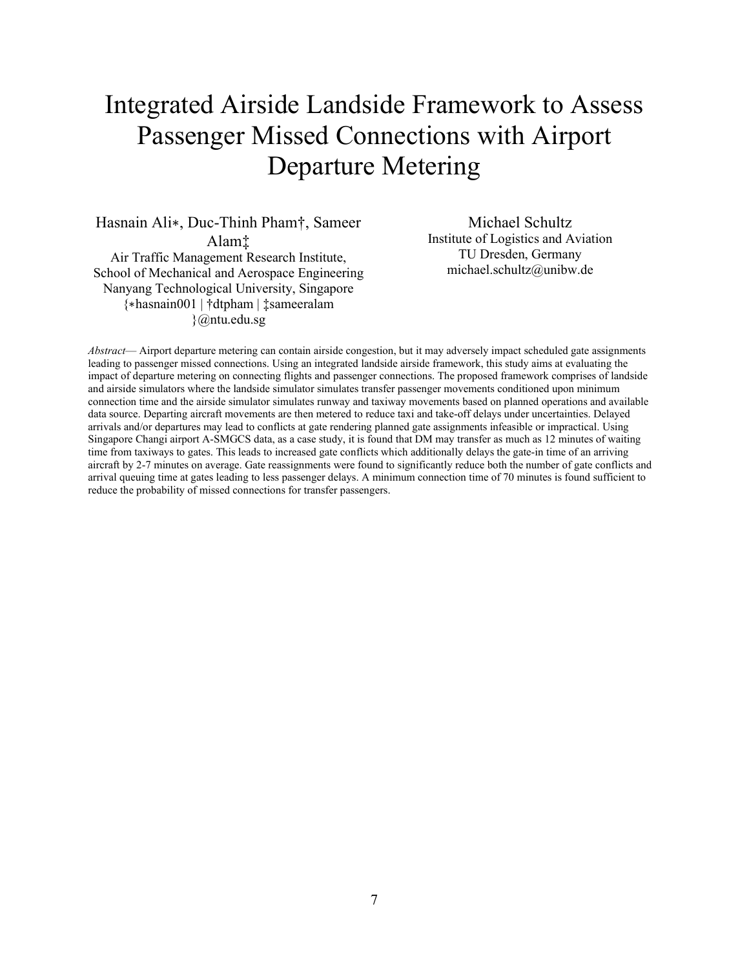#### <span id="page-9-0"></span>Integrated Airside Landside Framework to Assess Passenger Missed Connections with Airport Departure Metering

Hasnain Ali∗, Duc-Thinh Pham†, Sameer Alam‡ Air Traffic Management Research Institute, School of Mechanical and Aerospace Engineering Nanyang Technological University, Singapore {∗hasnain001 | †dtpham | ‡sameeralam }@ntu.edu.sg

Michael Schultz Institute of Logistics and Aviation TU Dresden, Germany michael.schultz@unibw.de

*Abstract*— Airport departure metering can contain airside congestion, but it may adversely impact scheduled gate assignments leading to passenger missed connections. Using an integrated landside airside framework, this study aims at evaluating the impact of departure metering on connecting flights and passenger connections. The proposed framework comprises of landside and airside simulators where the landside simulator simulates transfer passenger movements conditioned upon minimum connection time and the airside simulator simulates runway and taxiway movements based on planned operations and available data source. Departing aircraft movements are then metered to reduce taxi and take-off delays under uncertainties. Delayed arrivals and/or departures may lead to conflicts at gate rendering planned gate assignments infeasible or impractical. Using Singapore Changi airport A-SMGCS data, as a case study, it is found that DM may transfer as much as 12 minutes of waiting time from taxiways to gates. This leads to increased gate conflicts which additionally delays the gate-in time of an arriving aircraft by 2-7 minutes on average. Gate reassignments were found to significantly reduce both the number of gate conflicts and arrival queuing time at gates leading to less passenger delays. A minimum connection time of 70 minutes is found sufficient to reduce the probability of missed connections for transfer passengers.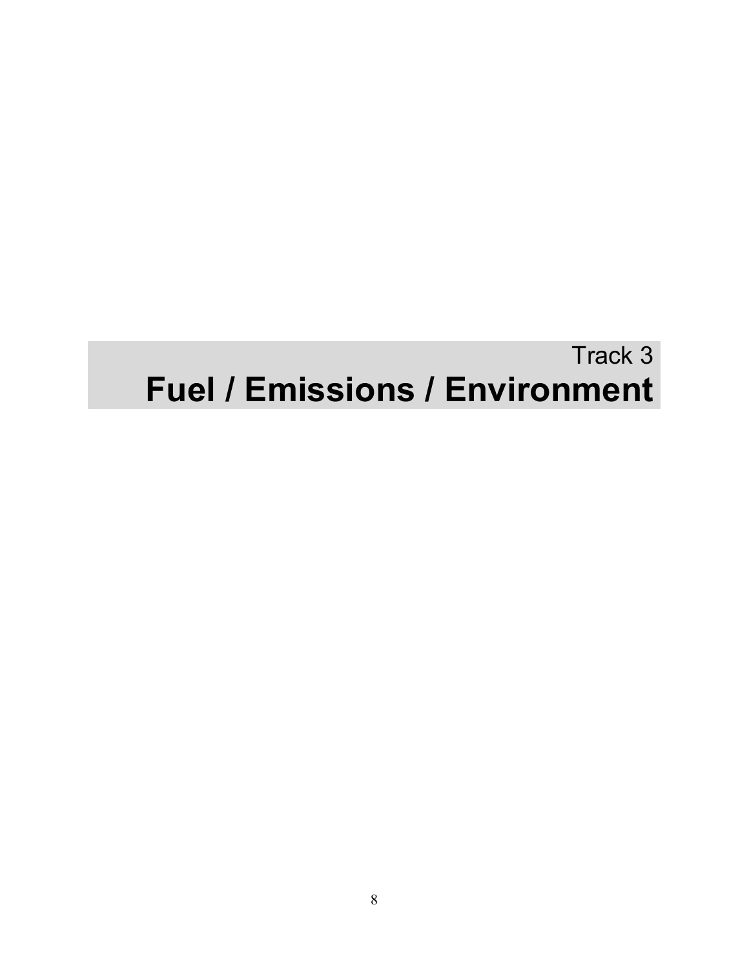## Track 3 **Fuel / Emissions / Environment**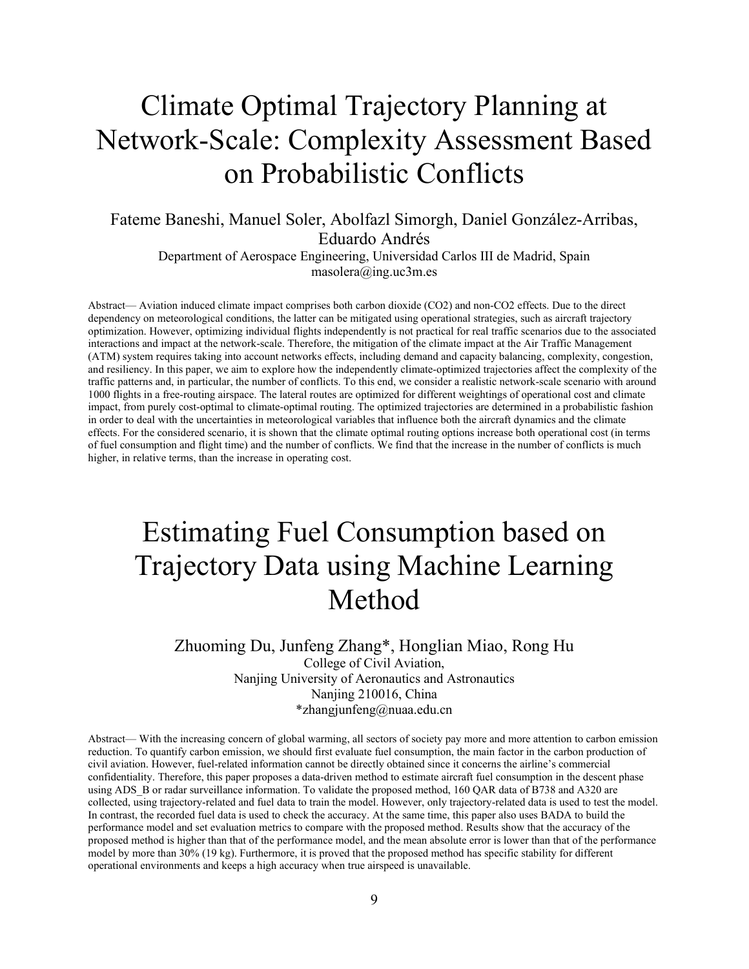## <span id="page-11-0"></span>Climate Optimal Trajectory Planning at Network-Scale: Complexity Assessment Based on Probabilistic Conflicts

Fateme Baneshi, Manuel Soler, Abolfazl Simorgh, Daniel González-Arribas, Eduardo Andrés

Department of Aerospace Engineering, Universidad Carlos III de Madrid, Spain masolera@ing.uc3m.es

Abstract— Aviation induced climate impact comprises both carbon dioxide (CO2) and non-CO2 effects. Due to the direct dependency on meteorological conditions, the latter can be mitigated using operational strategies, such as aircraft trajectory optimization. However, optimizing individual flights independently is not practical for real traffic scenarios due to the associated interactions and impact at the network-scale. Therefore, the mitigation of the climate impact at the Air Traffic Management (ATM) system requires taking into account networks effects, including demand and capacity balancing, complexity, congestion, and resiliency. In this paper, we aim to explore how the independently climate-optimized trajectories affect the complexity of the traffic patterns and, in particular, the number of conflicts. To this end, we consider a realistic network-scale scenario with around 1000 flights in a free-routing airspace. The lateral routes are optimized for different weightings of operational cost and climate impact, from purely cost-optimal to climate-optimal routing. The optimized trajectories are determined in a probabilistic fashion in order to deal with the uncertainties in meteorological variables that influence both the aircraft dynamics and the climate effects. For the considered scenario, it is shown that the climate optimal routing options increase both operational cost (in terms of fuel consumption and flight time) and the number of conflicts. We find that the increase in the number of conflicts is much higher, in relative terms, than the increase in operating cost.

## <span id="page-11-1"></span>Estimating Fuel Consumption based on Trajectory Data using Machine Learning Method

#### Zhuoming Du, Junfeng Zhang\*, Honglian Miao, Rong Hu

College of Civil Aviation, Nanjing University of Aeronautics and Astronautics Nanjing 210016, China \*zhangjunfeng@nuaa.edu.cn

Abstract— With the increasing concern of global warming, all sectors of society pay more and more attention to carbon emission reduction. To quantify carbon emission, we should first evaluate fuel consumption, the main factor in the carbon production of civil aviation. However, fuel-related information cannot be directly obtained since it concerns the airline's commercial confidentiality. Therefore, this paper proposes a data-driven method to estimate aircraft fuel consumption in the descent phase using ADS B or radar surveillance information. To validate the proposed method, 160 QAR data of B738 and A320 are collected, using trajectory-related and fuel data to train the model. However, only trajectory-related data is used to test the model. In contrast, the recorded fuel data is used to check the accuracy. At the same time, this paper also uses BADA to build the performance model and set evaluation metrics to compare with the proposed method. Results show that the accuracy of the proposed method is higher than that of the performance model, and the mean absolute error is lower than that of the performance model by more than 30% (19 kg). Furthermore, it is proved that the proposed method has specific stability for different operational environments and keeps a high accuracy when true airspeed is unavailable.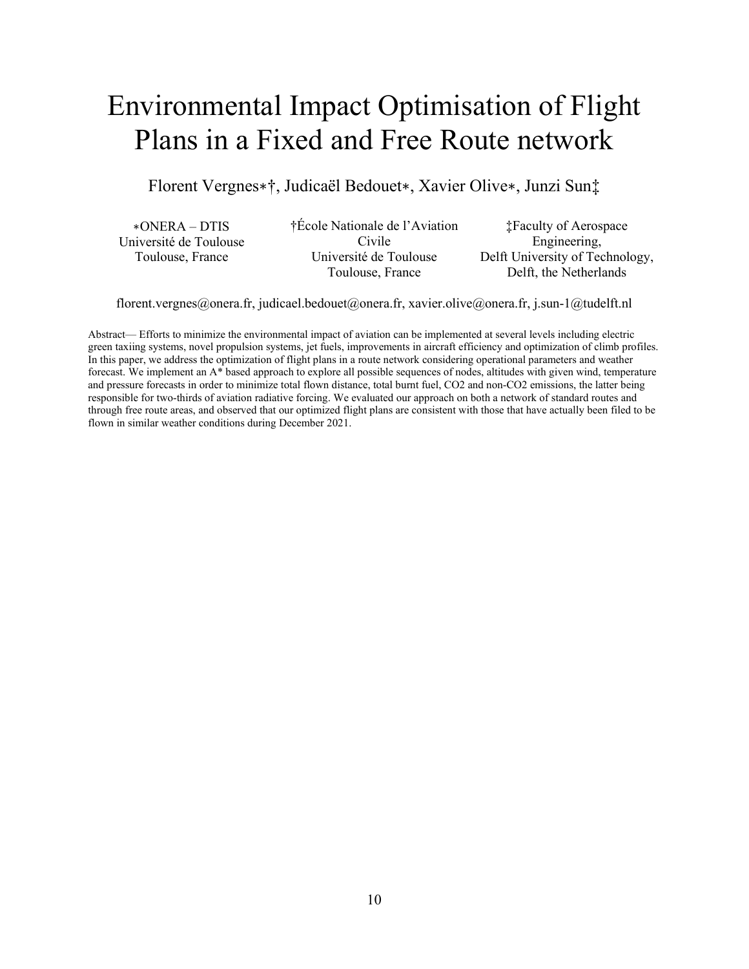## <span id="page-12-0"></span>Environmental Impact Optimisation of Flight Plans in a Fixed and Free Route network

Florent Vergnes∗†, Judicaël Bedouet∗, Xavier Olive∗, Junzi Sun‡

∗ONERA – DTIS Université de Toulouse Toulouse, France

†École Nationale de l'Aviation Civile Université de Toulouse Toulouse, France

‡Faculty of Aerospace Engineering, Delft University of Technology, Delft, the Netherlands

florent.vergnes@onera.fr, judicael.bedouet@onera.fr, xavier.olive@onera.fr, j.sun-1@tudelft.nl

Abstract— Efforts to minimize the environmental impact of aviation can be implemented at several levels including electric green taxiing systems, novel propulsion systems, jet fuels, improvements in aircraft efficiency and optimization of climb profiles. In this paper, we address the optimization of flight plans in a route network considering operational parameters and weather forecast. We implement an A\* based approach to explore all possible sequences of nodes, altitudes with given wind, temperature and pressure forecasts in order to minimize total flown distance, total burnt fuel, CO2 and non-CO2 emissions, the latter being responsible for two-thirds of aviation radiative forcing. We evaluated our approach on both a network of standard routes and through free route areas, and observed that our optimized flight plans are consistent with those that have actually been filed to be flown in similar weather conditions during December 2021.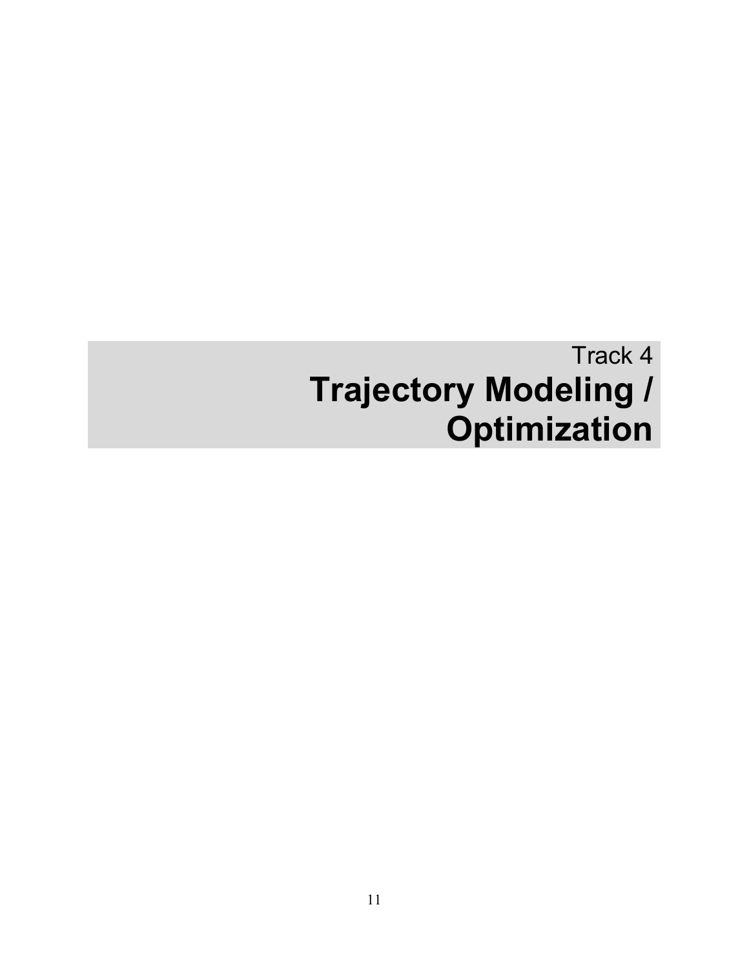# Track 4 **Trajectory Modeling / Optimization**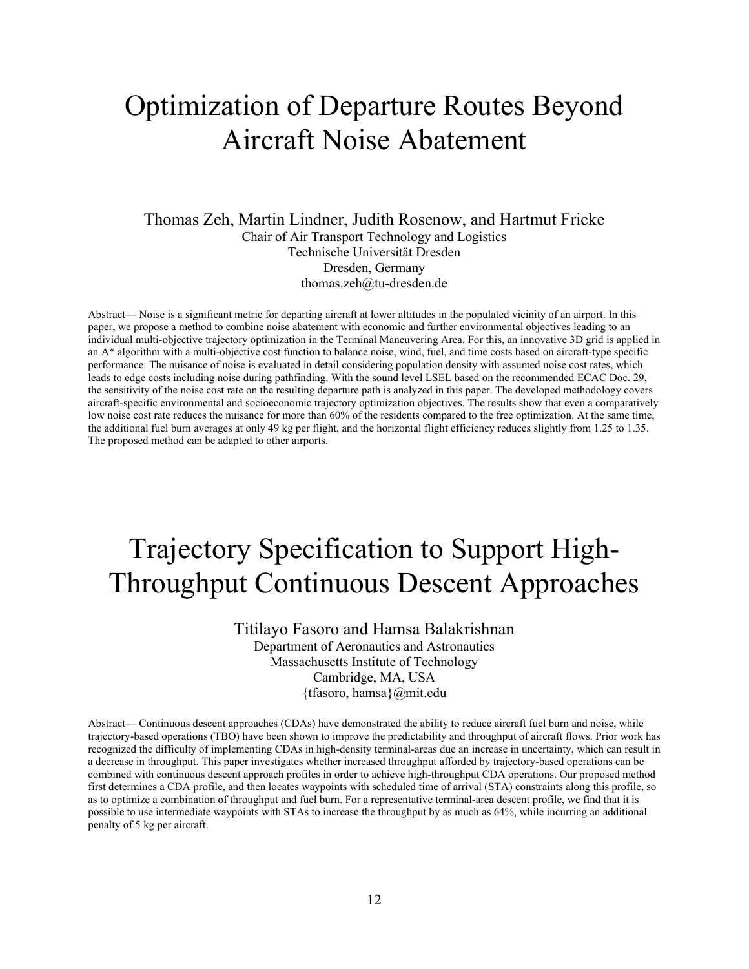#### <span id="page-14-0"></span>Optimization of Departure Routes Beyond Aircraft Noise Abatement

Thomas Zeh, Martin Lindner, Judith Rosenow, and Hartmut Fricke Chair of Air Transport Technology and Logistics Technische Universität Dresden Dresden, Germany thomas.zeh@tu-dresden.de

Abstract— Noise is a significant metric for departing aircraft at lower altitudes in the populated vicinity of an airport. In this paper, we propose a method to combine noise abatement with economic and further environmental objectives leading to an individual multi-objective trajectory optimization in the Terminal Maneuvering Area. For this, an innovative 3D grid is applied in an A\* algorithm with a multi-objective cost function to balance noise, wind, fuel, and time costs based on aircraft-type specific performance. The nuisance of noise is evaluated in detail considering population density with assumed noise cost rates, which leads to edge costs including noise during pathfinding. With the sound level LSEL based on the recommended ECAC Doc. 29, the sensitivity of the noise cost rate on the resulting departure path is analyzed in this paper. The developed methodology covers aircraft-specific environmental and socioeconomic trajectory optimization objectives. The results show that even a comparatively low noise cost rate reduces the nuisance for more than 60% of the residents compared to the free optimization. At the same time, the additional fuel burn averages at only 49 kg per flight, and the horizontal flight efficiency reduces slightly from 1.25 to 1.35. The proposed method can be adapted to other airports.

#### <span id="page-14-1"></span>Trajectory Specification to Support High-Throughput Continuous Descent Approaches

Titilayo Fasoro and Hamsa Balakrishnan Department of Aeronautics and Astronautics Massachusetts Institute of Technology Cambridge, MA, USA {tfasoro, hamsa}@mit.edu

Abstract— Continuous descent approaches (CDAs) have demonstrated the ability to reduce aircraft fuel burn and noise, while trajectory-based operations (TBO) have been shown to improve the predictability and throughput of aircraft flows. Prior work has recognized the difficulty of implementing CDAs in high-density terminal-areas due an increase in uncertainty, which can result in a decrease in throughput. This paper investigates whether increased throughput afforded by trajectory-based operations can be combined with continuous descent approach profiles in order to achieve high-throughput CDA operations. Our proposed method first determines a CDA profile, and then locates waypoints with scheduled time of arrival (STA) constraints along this profile, so as to optimize a combination of throughput and fuel burn. For a representative terminal-area descent profile, we find that it is possible to use intermediate waypoints with STAs to increase the throughput by as much as 64%, while incurring an additional penalty of 5 kg per aircraft.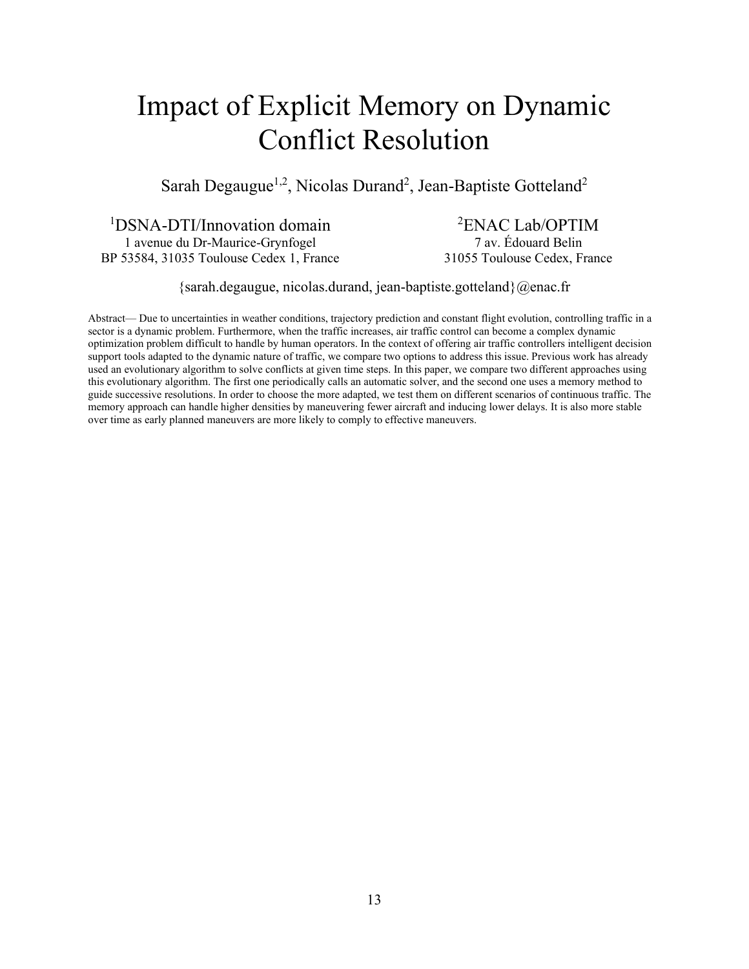## <span id="page-15-0"></span>Impact of Explicit Memory on Dynamic Conflict Resolution

Sarah Degaugue<sup>1,2</sup>, Nicolas Durand<sup>2</sup>, Jean-Baptiste Gotteland<sup>2</sup>

1 DSNA-DTI/Innovation domain 1 avenue du Dr-Maurice-Grynfogel BP 53584, 31035 Toulouse Cedex 1, France

2 ENAC Lab/OPTIM 7 av. Édouard Belin 31055 Toulouse Cedex, France

{sarah.degaugue, nicolas.durand, jean-baptiste.gotteland}@enac.fr

Abstract— Due to uncertainties in weather conditions, trajectory prediction and constant flight evolution, controlling traffic in a sector is a dynamic problem. Furthermore, when the traffic increases, air traffic control can become a complex dynamic optimization problem difficult to handle by human operators. In the context of offering air traffic controllers intelligent decision support tools adapted to the dynamic nature of traffic, we compare two options to address this issue. Previous work has already used an evolutionary algorithm to solve conflicts at given time steps. In this paper, we compare two different approaches using this evolutionary algorithm. The first one periodically calls an automatic solver, and the second one uses a memory method to guide successive resolutions. In order to choose the more adapted, we test them on different scenarios of continuous traffic. The memory approach can handle higher densities by maneuvering fewer aircraft and inducing lower delays. It is also more stable over time as early planned maneuvers are more likely to comply to effective maneuvers.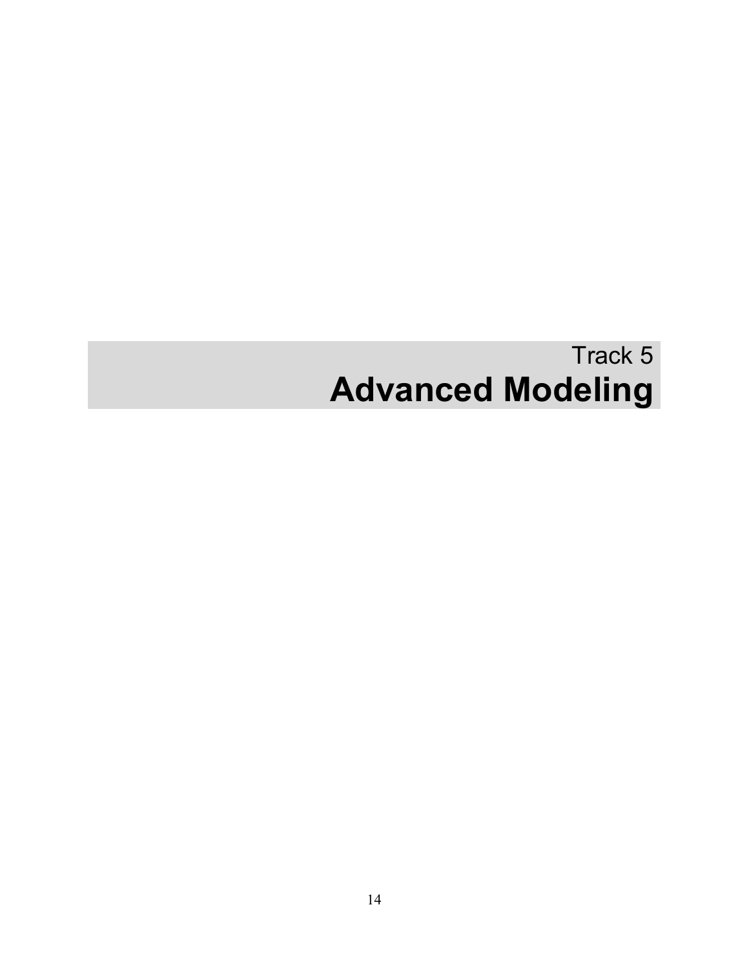# Track 5 **Advanced Modeling**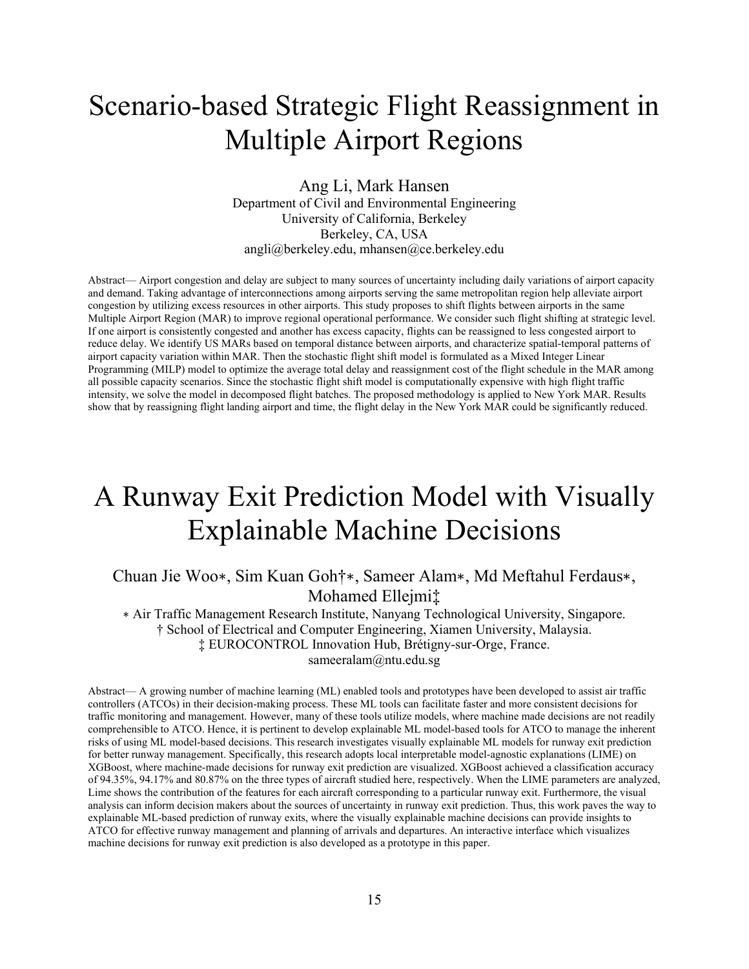### <span id="page-17-0"></span>Scenario-based Strategic Flight Reassignment in Multiple Airport Regions

Ang Li, Mark Hansen Department of Civil and Environmental Engineering University of California, Berkeley Berkeley, CA, USA angli@berkeley.edu, mhansen@ce.berkeley.edu

Abstract— Airport congestion and delay are subject to many sources of uncertainty including daily variations of airport capacity and demand. Taking advantage of interconnections among airports serving the same metropolitan region help alleviate airport congestion by utilizing excess resources in other airports. This study proposes to shift flights between airports in the same Multiple Airport Region (MAR) to improve regional operational performance. We consider such flight shifting at strategic level. If one airport is consistently congested and another has excess capacity, flights can be reassigned to less congested airport to reduce delay. We identify US MARs based on temporal distance between airports, and characterize spatial-temporal patterns of airport capacity variation within MAR. Then the stochastic flight shift model is formulated as a Mixed Integer Linear Programming (MILP) model to optimize the average total delay and reassignment cost of the flight schedule in the MAR among all possible capacity scenarios. Since the stochastic flight shift model is computationally expensive with high flight traffic intensity, we solve the model in decomposed flight batches. The proposed methodology is applied to New York MAR. Results show that by reassigning flight landing airport and time, the flight delay in the New York MAR could be significantly reduced.

#### <span id="page-17-1"></span>A Runway Exit Prediction Model with Visually Explainable Machine Decisions

Chuan Jie Woo∗, Sim Kuan Goh†∗, Sameer Alam∗, Md Meftahul Ferdaus∗, Mohamed Ellejmi‡

∗ Air Traffic Management Research Institute, Nanyang Technological University, Singapore. † School of Electrical and Computer Engineering, Xiamen University, Malaysia. ‡ EUROCONTROL Innovation Hub, Brétigny-sur-Orge, France. sameeralam@ntu.edu.sg

Abstract— A growing number of machine learning (ML) enabled tools and prototypes have been developed to assist air traffic controllers (ATCOs) in their decision-making process. These ML tools can facilitate faster and more consistent decisions for traffic monitoring and management. However, many of these tools utilize models, where machine made decisions are not readily comprehensible to ATCO. Hence, it is pertinent to develop explainable ML model-based tools for ATCO to manage the inherent risks of using ML model-based decisions. This research investigates visually explainable ML models for runway exit prediction for better runway management. Specifically, this research adopts local interpretable model-agnostic explanations (LIME) on XGBoost, where machine-made decisions for runway exit prediction are visualized. XGBoost achieved a classification accuracy of 94.35%, 94.17% and 80.87% on the three types of aircraft studied here, respectively. When the LIME parameters are analyzed, Lime shows the contribution of the features for each aircraft corresponding to a particular runway exit. Furthermore, the visual analysis can inform decision makers about the sources of uncertainty in runway exit prediction. Thus, this work paves the way to explainable ML-based prediction of runway exits, where the visually explainable machine decisions can provide insights to ATCO for effective runway management and planning of arrivals and departures. An interactive interface which visualizes machine decisions for runway exit prediction is also developed as a prototype in this paper.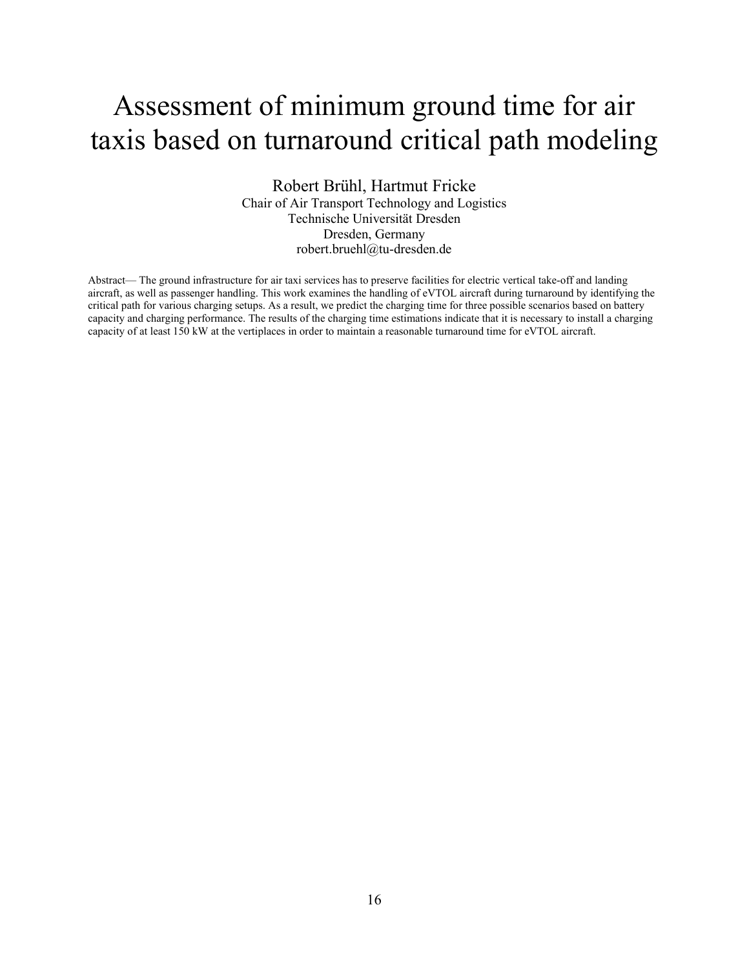#### <span id="page-18-0"></span>Assessment of minimum ground time for air taxis based on turnaround critical path modeling

Robert Brühl, Hartmut Fricke Chair of Air Transport Technology and Logistics Technische Universität Dresden Dresden, Germany robert.bruehl@tu-dresden.de

Abstract— The ground infrastructure for air taxi services has to preserve facilities for electric vertical take-off and landing aircraft, as well as passenger handling. This work examines the handling of eVTOL aircraft during turnaround by identifying the critical path for various charging setups. As a result, we predict the charging time for three possible scenarios based on battery capacity and charging performance. The results of the charging time estimations indicate that it is necessary to install a charging capacity of at least 150 kW at the vertiplaces in order to maintain a reasonable turnaround time for eVTOL aircraft.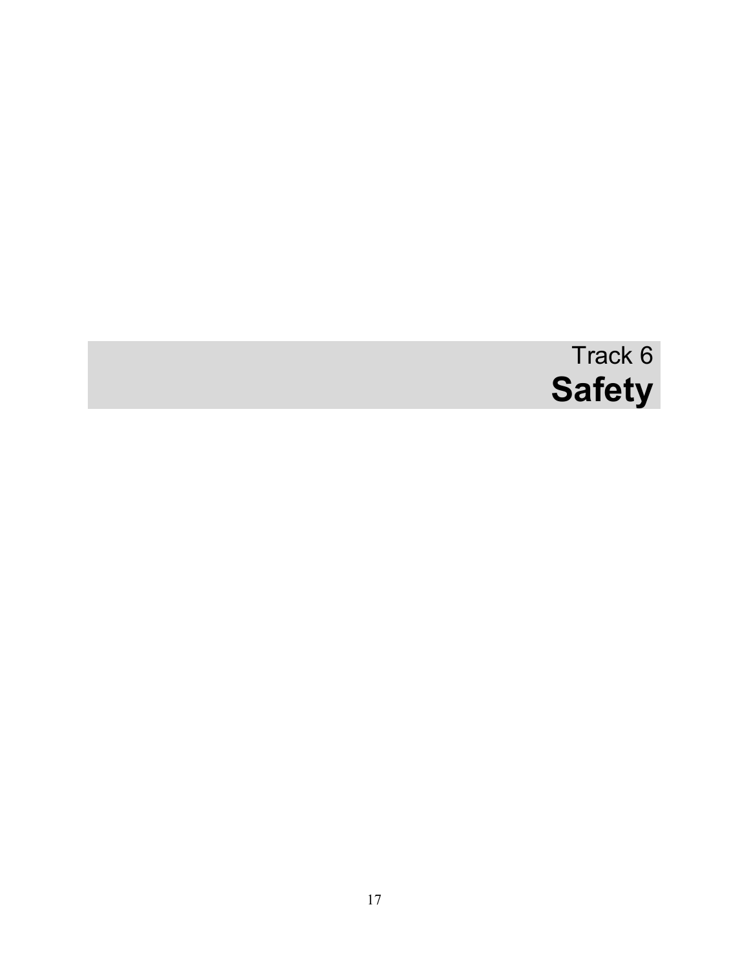# Track 6 **Safety**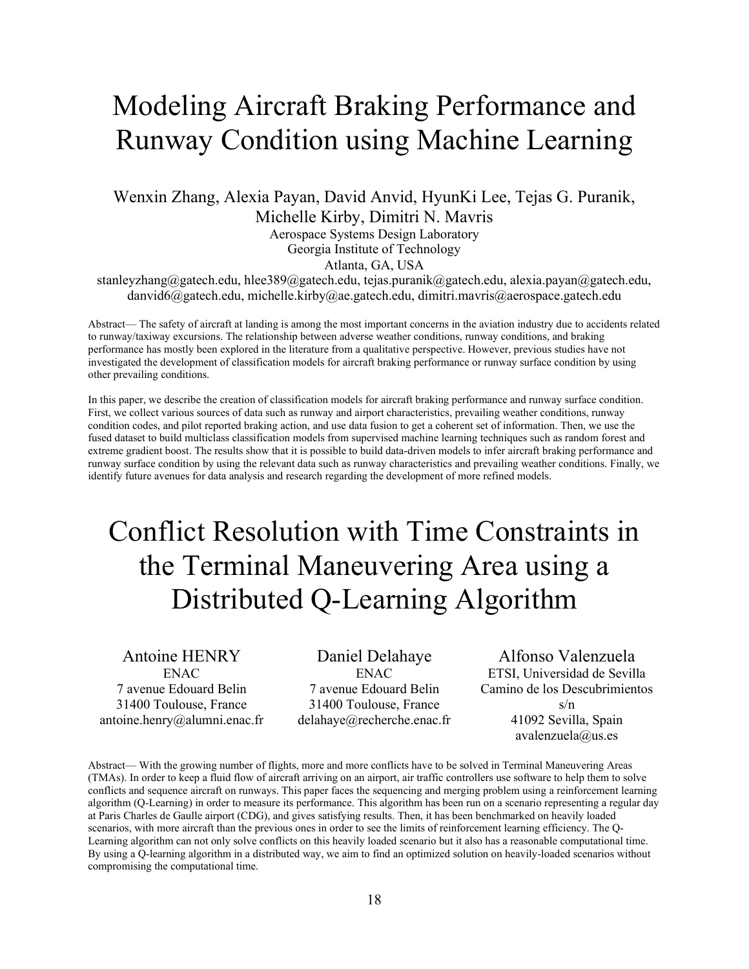#### <span id="page-20-0"></span>Modeling Aircraft Braking Performance and Runway Condition using Machine Learning

Wenxin Zhang, Alexia Payan, David Anvid, HyunKi Lee, Tejas G. Puranik, Michelle Kirby, Dimitri N. Mavris

Aerospace Systems Design Laboratory

Georgia Institute of Technology

Atlanta, GA, USA

stanleyzhang@gatech.edu, hlee389@gatech.edu, tejas.puranik@gatech.edu, alexia.payan@gatech.edu, danvid6@gatech.edu, michelle.kirby@ae.gatech.edu, dimitri.mavris@aerospace.gatech.edu

Abstract— The safety of aircraft at landing is among the most important concerns in the aviation industry due to accidents related to runway/taxiway excursions. The relationship between adverse weather conditions, runway conditions, and braking performance has mostly been explored in the literature from a qualitative perspective. However, previous studies have not investigated the development of classification models for aircraft braking performance or runway surface condition by using other prevailing conditions.

In this paper, we describe the creation of classification models for aircraft braking performance and runway surface condition. First, we collect various sources of data such as runway and airport characteristics, prevailing weather conditions, runway condition codes, and pilot reported braking action, and use data fusion to get a coherent set of information. Then, we use the fused dataset to build multiclass classification models from supervised machine learning techniques such as random forest and extreme gradient boost. The results show that it is possible to build data-driven models to infer aircraft braking performance and runway surface condition by using the relevant data such as runway characteristics and prevailing weather conditions. Finally, we identify future avenues for data analysis and research regarding the development of more refined models.

### <span id="page-20-1"></span>Conflict Resolution with Time Constraints in the Terminal Maneuvering Area using a Distributed Q-Learning Algorithm

Antoine HENRY ENAC 7 avenue Edouard Belin 31400 Toulouse, France antoine.henry@alumni.enac.fr

Daniel Delahaye ENAC 7 avenue Edouard Belin 31400 Toulouse, France delahaye@recherche.enac.fr

Alfonso Valenzuela ETSI, Universidad de Sevilla Camino de los Descubrimientos s/n 41092 Sevilla, Spain

avalenzuela@us.es

Abstract— With the growing number of flights, more and more conflicts have to be solved in Terminal Maneuvering Areas (TMAs). In order to keep a fluid flow of aircraft arriving on an airport, air traffic controllers use software to help them to solve conflicts and sequence aircraft on runways. This paper faces the sequencing and merging problem using a reinforcement learning algorithm (Q-Learning) in order to measure its performance. This algorithm has been run on a scenario representing a regular day at Paris Charles de Gaulle airport (CDG), and gives satisfying results. Then, it has been benchmarked on heavily loaded scenarios, with more aircraft than the previous ones in order to see the limits of reinforcement learning efficiency. The Q-Learning algorithm can not only solve conflicts on this heavily loaded scenario but it also has a reasonable computational time. By using a Q-learning algorithm in a distributed way, we aim to find an optimized solution on heavily-loaded scenarios without compromising the computational time.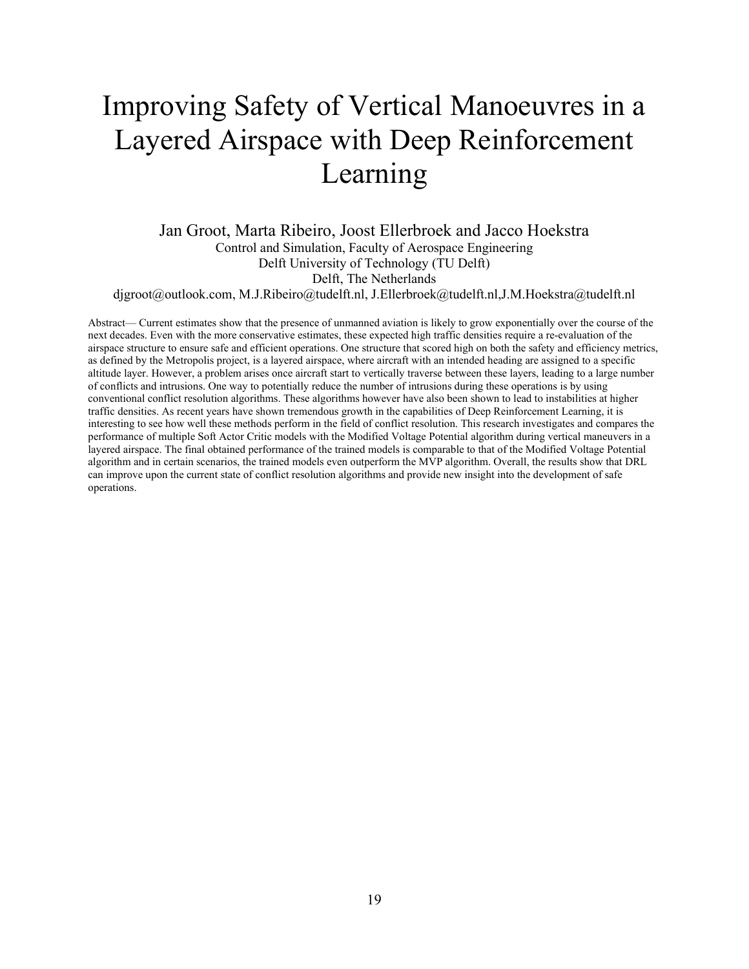## <span id="page-21-0"></span>Improving Safety of Vertical Manoeuvres in a Layered Airspace with Deep Reinforcement Learning

Jan Groot, Marta Ribeiro, Joost Ellerbroek and Jacco Hoekstra Control and Simulation, Faculty of Aerospace Engineering Delft University of Technology (TU Delft) Delft, The Netherlands

djgroot@outlook.com, M.J.Ribeiro@tudelft.nl, J.Ellerbroek@tudelft.nl,J.M.Hoekstra@tudelft.nl

Abstract— Current estimates show that the presence of unmanned aviation is likely to grow exponentially over the course of the next decades. Even with the more conservative estimates, these expected high traffic densities require a re-evaluation of the airspace structure to ensure safe and efficient operations. One structure that scored high on both the safety and efficiency metrics, as defined by the Metropolis project, is a layered airspace, where aircraft with an intended heading are assigned to a specific altitude layer. However, a problem arises once aircraft start to vertically traverse between these layers, leading to a large number of conflicts and intrusions. One way to potentially reduce the number of intrusions during these operations is by using conventional conflict resolution algorithms. These algorithms however have also been shown to lead to instabilities at higher traffic densities. As recent years have shown tremendous growth in the capabilities of Deep Reinforcement Learning, it is interesting to see how well these methods perform in the field of conflict resolution. This research investigates and compares the performance of multiple Soft Actor Critic models with the Modified Voltage Potential algorithm during vertical maneuvers in a layered airspace. The final obtained performance of the trained models is comparable to that of the Modified Voltage Potential algorithm and in certain scenarios, the trained models even outperform the MVP algorithm. Overall, the results show that DRL can improve upon the current state of conflict resolution algorithms and provide new insight into the development of safe operations.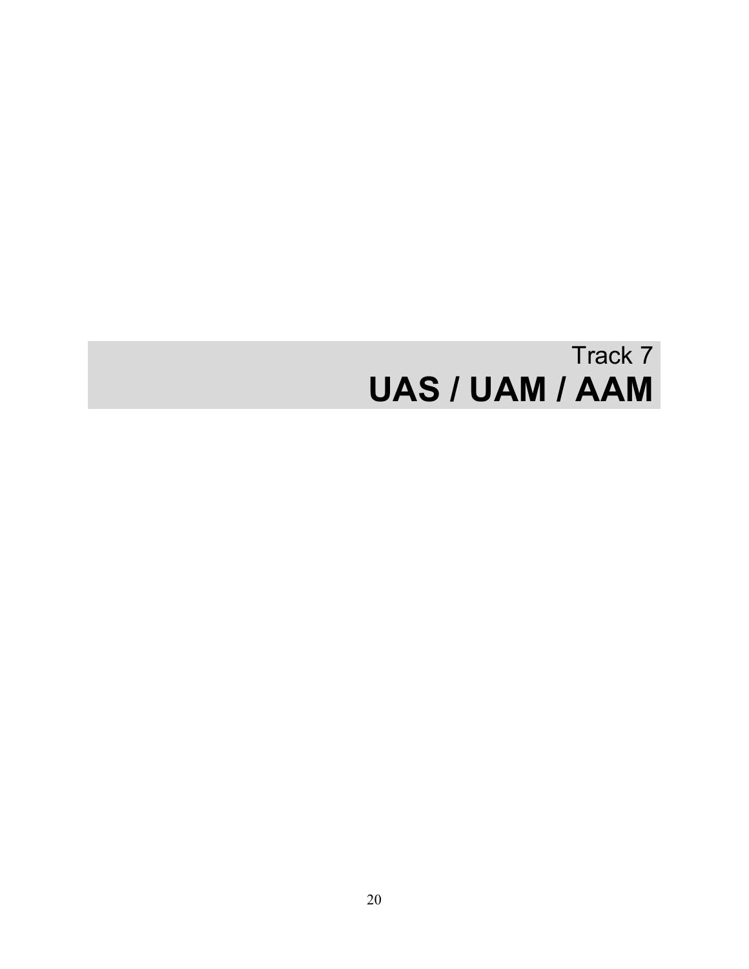# Track 7 **UAS / UAM / AAM**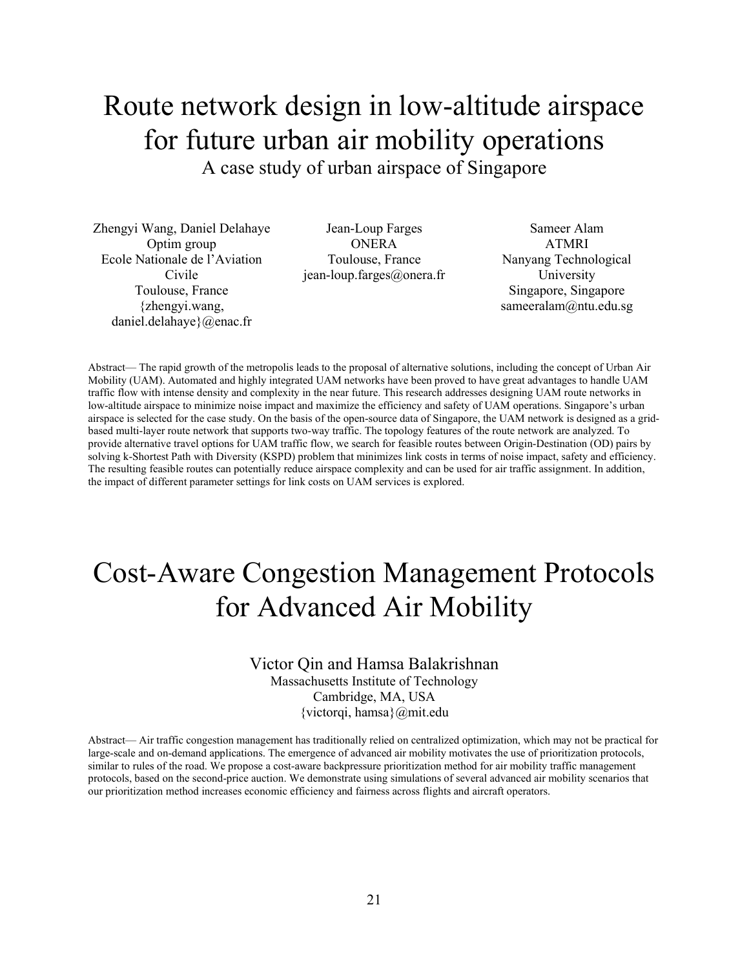#### <span id="page-23-0"></span>Route network design in low-altitude airspace for future urban air mobility operations A case study of urban airspace of Singapore

Zhengyi Wang, Daniel Delahaye Optim group Ecole Nationale de l'Aviation Civile Toulouse, France {zhengyi.wang, daniel.delahaye}@enac.fr

Jean-Loup Farges ONERA Toulouse, France jean-loup.farges@onera.fr

Sameer Alam ATMRI Nanyang Technological University Singapore, Singapore sameeralam@ntu.edu.sg

Abstract— The rapid growth of the metropolis leads to the proposal of alternative solutions, including the concept of Urban Air Mobility (UAM). Automated and highly integrated UAM networks have been proved to have great advantages to handle UAM traffic flow with intense density and complexity in the near future. This research addresses designing UAM route networks in low-altitude airspace to minimize noise impact and maximize the efficiency and safety of UAM operations. Singapore's urban airspace is selected for the case study. On the basis of the open-source data of Singapore, the UAM network is designed as a gridbased multi-layer route network that supports two-way traffic. The topology features of the route network are analyzed. To provide alternative travel options for UAM traffic flow, we search for feasible routes between Origin-Destination (OD) pairs by solving k-Shortest Path with Diversity (KSPD) problem that minimizes link costs in terms of noise impact, safety and efficiency. The resulting feasible routes can potentially reduce airspace complexity and can be used for air traffic assignment. In addition, the impact of different parameter settings for link costs on UAM services is explored.

### <span id="page-23-1"></span>Cost-Aware Congestion Management Protocols for Advanced Air Mobility

#### Victor Qin and Hamsa Balakrishnan

Massachusetts Institute of Technology Cambridge, MA, USA {victorqi, hamsa}@mit.edu

Abstract— Air traffic congestion management has traditionally relied on centralized optimization, which may not be practical for large-scale and on-demand applications. The emergence of advanced air mobility motivates the use of prioritization protocols, similar to rules of the road. We propose a cost-aware backpressure prioritization method for air mobility traffic management protocols, based on the second-price auction. We demonstrate using simulations of several advanced air mobility scenarios that our prioritization method increases economic efficiency and fairness across flights and aircraft operators.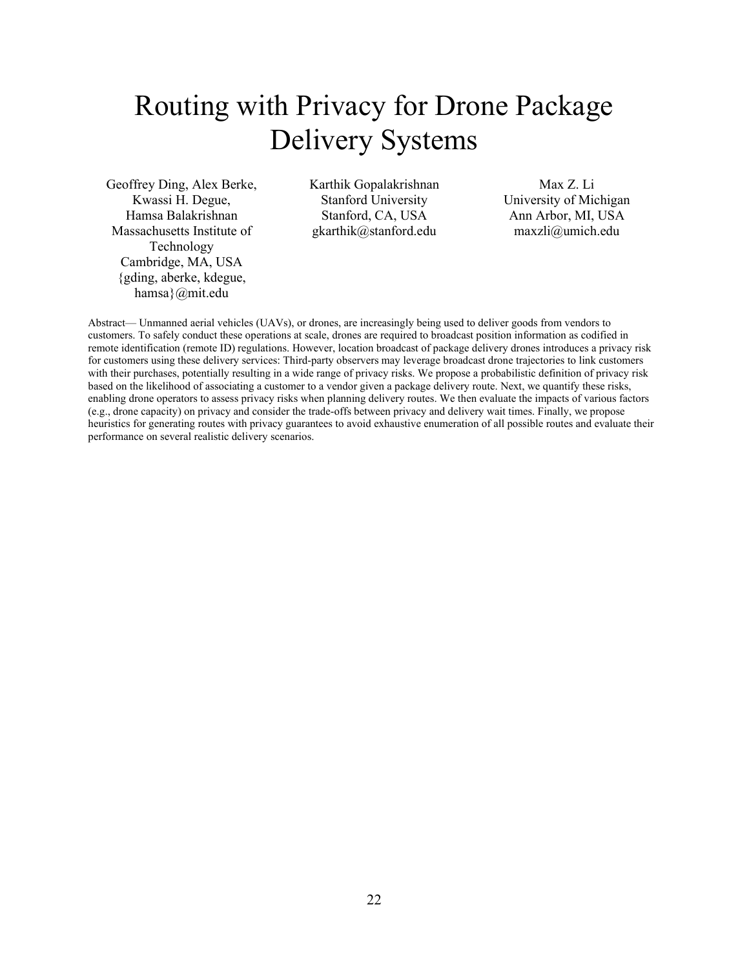## <span id="page-24-0"></span>Routing with Privacy for Drone Package Delivery Systems

Geoffrey Ding, Alex Berke, Kwassi H. Degue, Hamsa Balakrishnan Massachusetts Institute of Technology Cambridge, MA, USA {gding, aberke, kdegue, hamsa}@mit.edu

Karthik Gopalakrishnan Stanford University Stanford, CA, USA gkarthik@stanford.edu

Max Z. Li University of Michigan Ann Arbor, MI, USA maxzli@umich.edu

Abstract— Unmanned aerial vehicles (UAVs), or drones, are increasingly being used to deliver goods from vendors to customers. To safely conduct these operations at scale, drones are required to broadcast position information as codified in remote identification (remote ID) regulations. However, location broadcast of package delivery drones introduces a privacy risk for customers using these delivery services: Third-party observers may leverage broadcast drone trajectories to link customers with their purchases, potentially resulting in a wide range of privacy risks. We propose a probabilistic definition of privacy risk based on the likelihood of associating a customer to a vendor given a package delivery route. Next, we quantify these risks, enabling drone operators to assess privacy risks when planning delivery routes. We then evaluate the impacts of various factors (e.g., drone capacity) on privacy and consider the trade-offs between privacy and delivery wait times. Finally, we propose heuristics for generating routes with privacy guarantees to avoid exhaustive enumeration of all possible routes and evaluate their performance on several realistic delivery scenarios.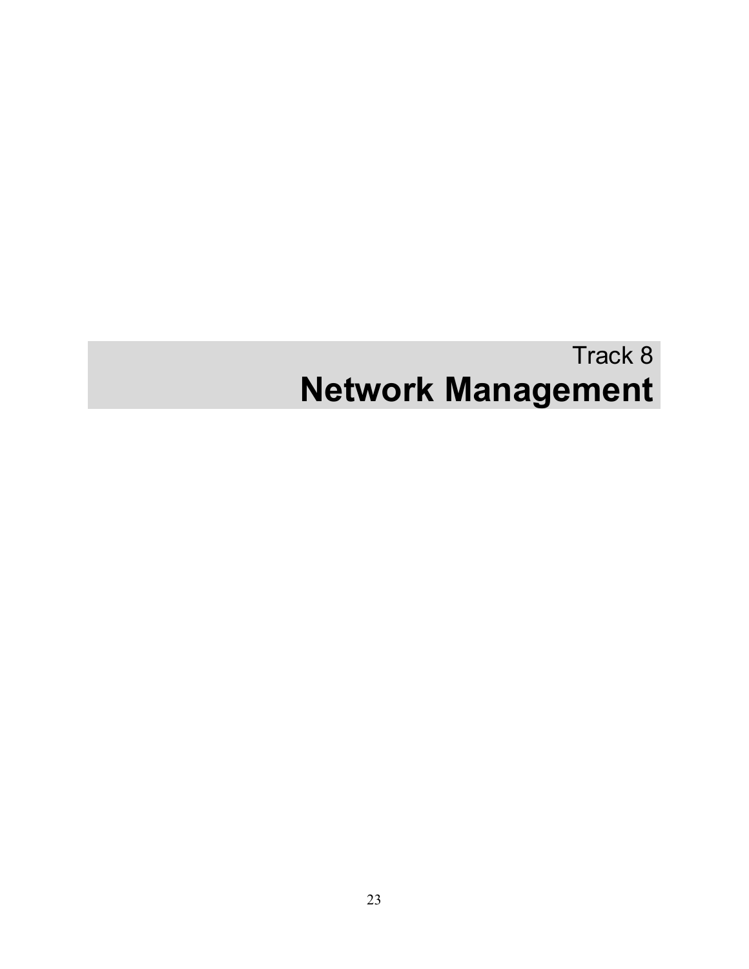# Track 8 **Network Management**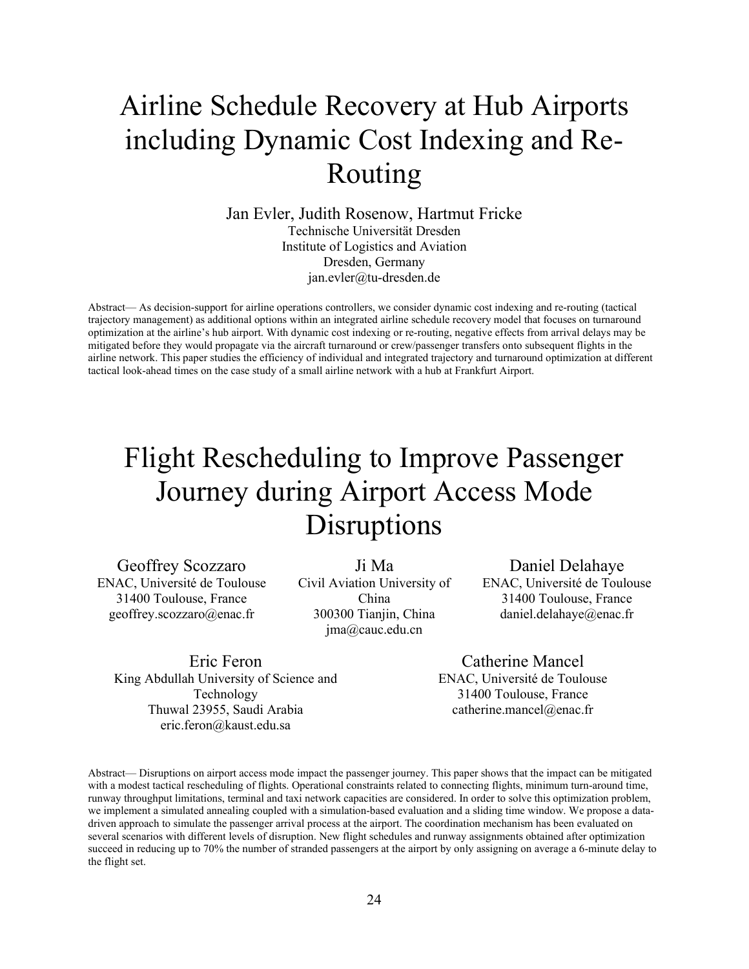## <span id="page-26-0"></span>Airline Schedule Recovery at Hub Airports including Dynamic Cost Indexing and Re-Routing

Jan Evler, Judith Rosenow, Hartmut Fricke Technische Universität Dresden Institute of Logistics and Aviation Dresden, Germany jan.evler@tu-dresden.de

Abstract— As decision-support for airline operations controllers, we consider dynamic cost indexing and re-routing (tactical trajectory management) as additional options within an integrated airline schedule recovery model that focuses on turnaround optimization at the airline's hub airport. With dynamic cost indexing or re-routing, negative effects from arrival delays may be mitigated before they would propagate via the aircraft turnaround or crew/passenger transfers onto subsequent flights in the airline network. This paper studies the efficiency of individual and integrated trajectory and turnaround optimization at different tactical look-ahead times on the case study of a small airline network with a hub at Frankfurt Airport.

## <span id="page-26-1"></span>Flight Rescheduling to Improve Passenger Journey during Airport Access Mode Disruptions

Geoffrey Scozzaro ENAC, Université de Toulouse 31400 Toulouse, France geoffrey.scozzaro@enac.fr

Ji Ma Civil Aviation University of China 300300 Tianjin, China jma@cauc.edu.cn

Daniel Delahaye ENAC, Université de Toulouse

31400 Toulouse, France daniel.delahaye@enac.fr

Eric Feron King Abdullah University of Science and Technology Thuwal 23955, Saudi Arabia eric.feron@kaust.edu.sa

Catherine Mancel ENAC, Université de Toulouse 31400 Toulouse, France catherine.mancel@enac.fr

Abstract— Disruptions on airport access mode impact the passenger journey. This paper shows that the impact can be mitigated with a modest tactical rescheduling of flights. Operational constraints related to connecting flights, minimum turn-around time, runway throughput limitations, terminal and taxi network capacities are considered. In order to solve this optimization problem, we implement a simulated annealing coupled with a simulation-based evaluation and a sliding time window. We propose a datadriven approach to simulate the passenger arrival process at the airport. The coordination mechanism has been evaluated on several scenarios with different levels of disruption. New flight schedules and runway assignments obtained after optimization succeed in reducing up to 70% the number of stranded passengers at the airport by only assigning on average a 6-minute delay to the flight set.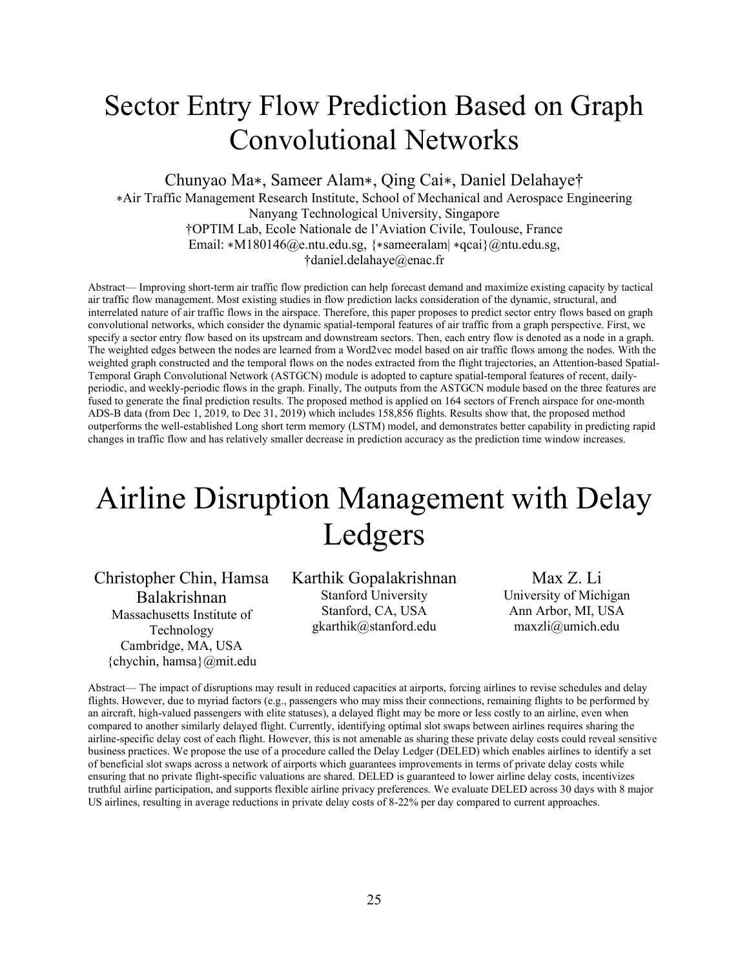#### <span id="page-27-0"></span>Sector Entry Flow Prediction Based on Graph Convolutional Networks

Chunyao Ma∗, Sameer Alam∗, Qing Cai∗, Daniel Delahaye†

∗Air Traffic Management Research Institute, School of Mechanical and Aerospace Engineering Nanyang Technological University, Singapore †OPTIM Lab, Ecole Nationale de l'Aviation Civile, Toulouse, France Email: ∗M180146@e.ntu.edu.sg, {∗sameeralam| ∗qcai}@ntu.edu.sg, †daniel.delahaye@enac.fr

Abstract— Improving short-term air traffic flow prediction can help forecast demand and maximize existing capacity by tactical air traffic flow management. Most existing studies in flow prediction lacks consideration of the dynamic, structural, and interrelated nature of air traffic flows in the airspace. Therefore, this paper proposes to predict sector entry flows based on graph convolutional networks, which consider the dynamic spatial-temporal features of air traffic from a graph perspective. First, we specify a sector entry flow based on its upstream and downstream sectors. Then, each entry flow is denoted as a node in a graph. The weighted edges between the nodes are learned from a Word2vec model based on air traffic flows among the nodes. With the weighted graph constructed and the temporal flows on the nodes extracted from the flight trajectories, an Attention-based Spatial-Temporal Graph Convolutional Network (ASTGCN) module is adopted to capture spatial-temporal features of recent, dailyperiodic, and weekly-periodic flows in the graph. Finally, The outputs from the ASTGCN module based on the three features are fused to generate the final prediction results. The proposed method is applied on 164 sectors of French airspace for one-month ADS-B data (from Dec 1, 2019, to Dec 31, 2019) which includes 158,856 flights. Results show that, the proposed method outperforms the well-established Long short term memory (LSTM) model, and demonstrates better capability in predicting rapid changes in traffic flow and has relatively smaller decrease in prediction accuracy as the prediction time window increases.

# <span id="page-27-1"></span>Airline Disruption Management with Delay Ledgers

Christopher Chin, Hamsa Balakrishnan Massachusetts Institute of Technology Cambridge, MA, USA {chychin, hamsa}@mit.edu

Karthik Gopalakrishnan Stanford University Stanford, CA, USA gkarthik@stanford.edu

Max Z. Li University of Michigan Ann Arbor, MI, USA maxzli@umich.edu

Abstract— The impact of disruptions may result in reduced capacities at airports, forcing airlines to revise schedules and delay flights. However, due to myriad factors (e.g., passengers who may miss their connections, remaining flights to be performed by an aircraft, high-valued passengers with elite statuses), a delayed flight may be more or less costly to an airline, even when compared to another similarly delayed flight. Currently, identifying optimal slot swaps between airlines requires sharing the airline-specific delay cost of each flight. However, this is not amenable as sharing these private delay costs could reveal sensitive business practices. We propose the use of a procedure called the Delay Ledger (DELED) which enables airlines to identify a set of beneficial slot swaps across a network of airports which guarantees improvements in terms of private delay costs while ensuring that no private flight-specific valuations are shared. DELED is guaranteed to lower airline delay costs, incentivizes truthful airline participation, and supports flexible airline privacy preferences. We evaluate DELED across 30 days with 8 major US airlines, resulting in average reductions in private delay costs of 8-22% per day compared to current approaches.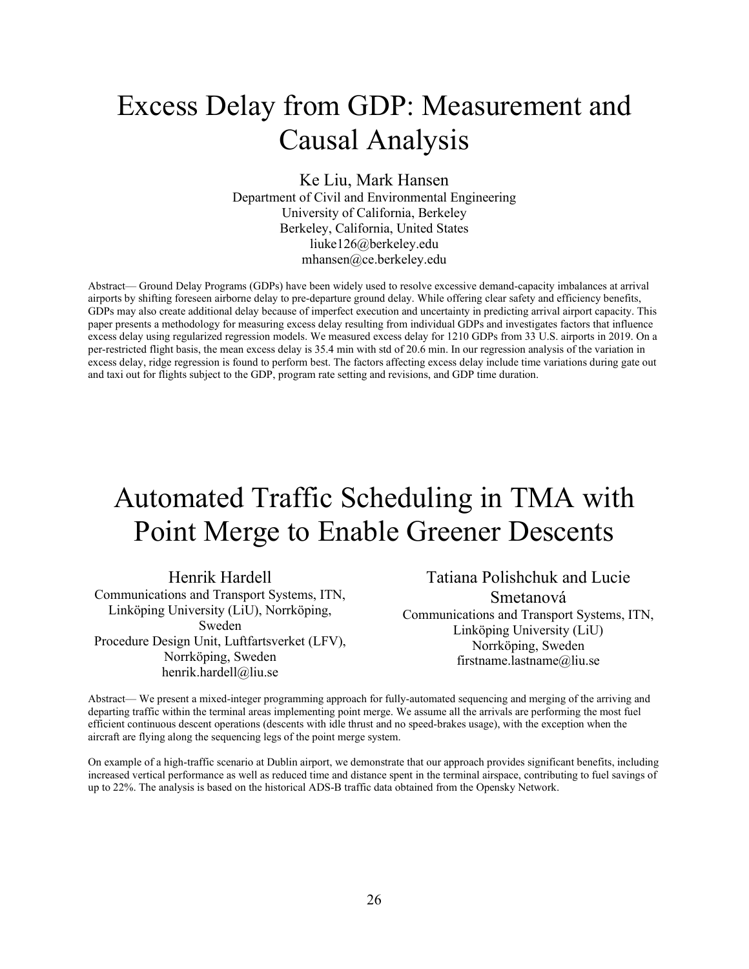## <span id="page-28-0"></span>Excess Delay from GDP: Measurement and Causal Analysis

Ke Liu, Mark Hansen Department of Civil and Environmental Engineering University of California, Berkeley Berkeley, California, United States liuke126@berkeley.edu mhansen@ce.berkeley.edu

Abstract— Ground Delay Programs (GDPs) have been widely used to resolve excessive demand-capacity imbalances at arrival airports by shifting foreseen airborne delay to pre-departure ground delay. While offering clear safety and efficiency benefits, GDPs may also create additional delay because of imperfect execution and uncertainty in predicting arrival airport capacity. This paper presents a methodology for measuring excess delay resulting from individual GDPs and investigates factors that influence excess delay using regularized regression models. We measured excess delay for 1210 GDPs from 33 U.S. airports in 2019. On a per-restricted flight basis, the mean excess delay is 35.4 min with std of 20.6 min. In our regression analysis of the variation in excess delay, ridge regression is found to perform best. The factors affecting excess delay include time variations during gate out and taxi out for flights subject to the GDP, program rate setting and revisions, and GDP time duration.

## <span id="page-28-1"></span>Automated Traffic Scheduling in TMA with Point Merge to Enable Greener Descents

Henrik Hardell Communications and Transport Systems, ITN, Linköping University (LiU), Norrköping, Sweden Procedure Design Unit, Luftfartsverket (LFV),

Norrköping, Sweden henrik.hardell@liu.se

Tatiana Polishchuk and Lucie Smetanová Communications and Transport Systems, ITN, Linköping University (LiU) Norrköping, Sweden firstname.lastname@liu.se

Abstract— We present a mixed-integer programming approach for fully-automated sequencing and merging of the arriving and departing traffic within the terminal areas implementing point merge. We assume all the arrivals are performing the most fuel efficient continuous descent operations (descents with idle thrust and no speed-brakes usage), with the exception when the aircraft are flying along the sequencing legs of the point merge system.

On example of a high-traffic scenario at Dublin airport, we demonstrate that our approach provides significant benefits, including increased vertical performance as well as reduced time and distance spent in the terminal airspace, contributing to fuel savings of up to 22%. The analysis is based on the historical ADS-B traffic data obtained from the Opensky Network.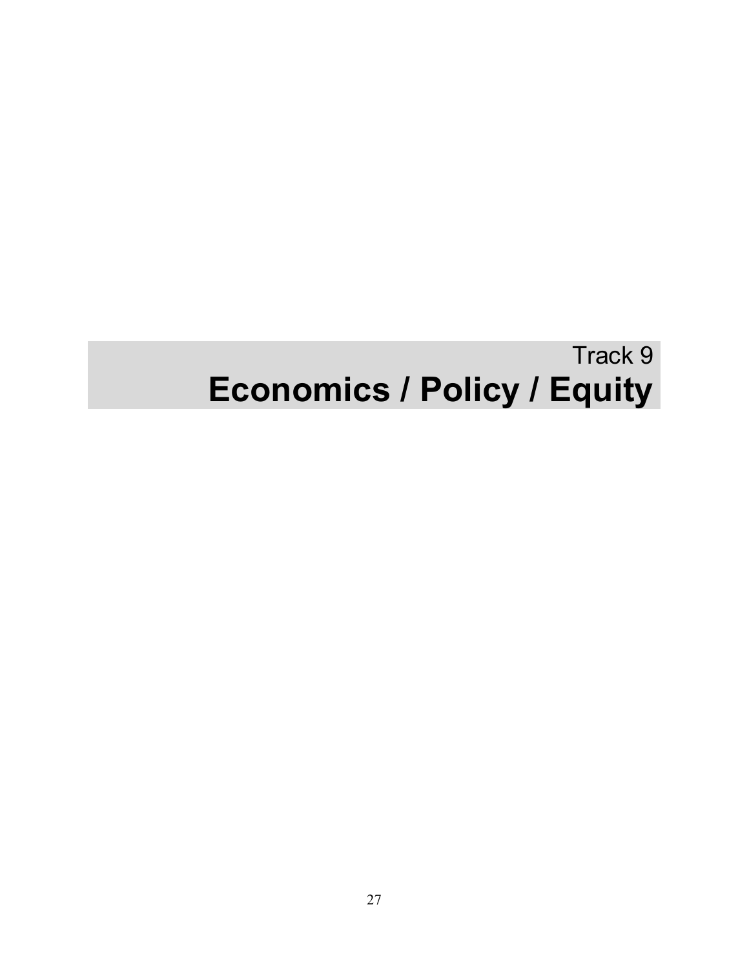# Track 9 **Economics / Policy / Equity**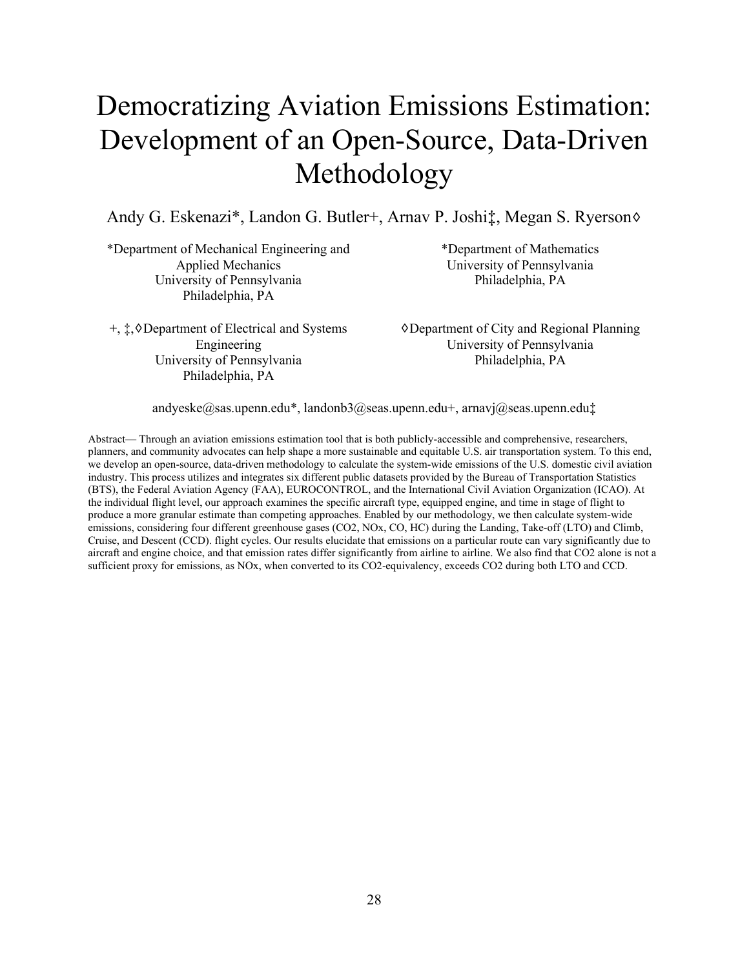## <span id="page-30-0"></span>Democratizing Aviation Emissions Estimation: Development of an Open-Source, Data-Driven Methodology

Andy G. Eskenazi\*, Landon G. Butler+, Arnav P. Joshi‡, Megan S. Ryerson♢

\*Department of Mechanical Engineering and Applied Mechanics University of Pennsylvania Philadelphia, PA

+, ‡,♢Department of Electrical and Systems Engineering University of Pennsylvania Philadelphia, PA

\*Department of Mathematics University of Pennsylvania Philadelphia, PA

♢Department of City and Regional Planning University of Pennsylvania Philadelphia, PA

andyeske@sas.upenn.edu\*, landonb3@seas.upenn.edu+, arnavj@seas.upenn.edu‡

Abstract— Through an aviation emissions estimation tool that is both publicly-accessible and comprehensive, researchers, planners, and community advocates can help shape a more sustainable and equitable U.S. air transportation system. To this end, we develop an open-source, data-driven methodology to calculate the system-wide emissions of the U.S. domestic civil aviation industry. This process utilizes and integrates six different public datasets provided by the Bureau of Transportation Statistics (BTS), the Federal Aviation Agency (FAA), EUROCONTROL, and the International Civil Aviation Organization (ICAO). At the individual flight level, our approach examines the specific aircraft type, equipped engine, and time in stage of flight to produce a more granular estimate than competing approaches. Enabled by our methodology, we then calculate system-wide emissions, considering four different greenhouse gases (CO2, NOx, CO, HC) during the Landing, Take-off (LTO) and Climb, Cruise, and Descent (CCD). flight cycles. Our results elucidate that emissions on a particular route can vary significantly due to aircraft and engine choice, and that emission rates differ significantly from airline to airline. We also find that CO2 alone is not a sufficient proxy for emissions, as NOx, when converted to its CO2-equivalency, exceeds CO2 during both LTO and CCD.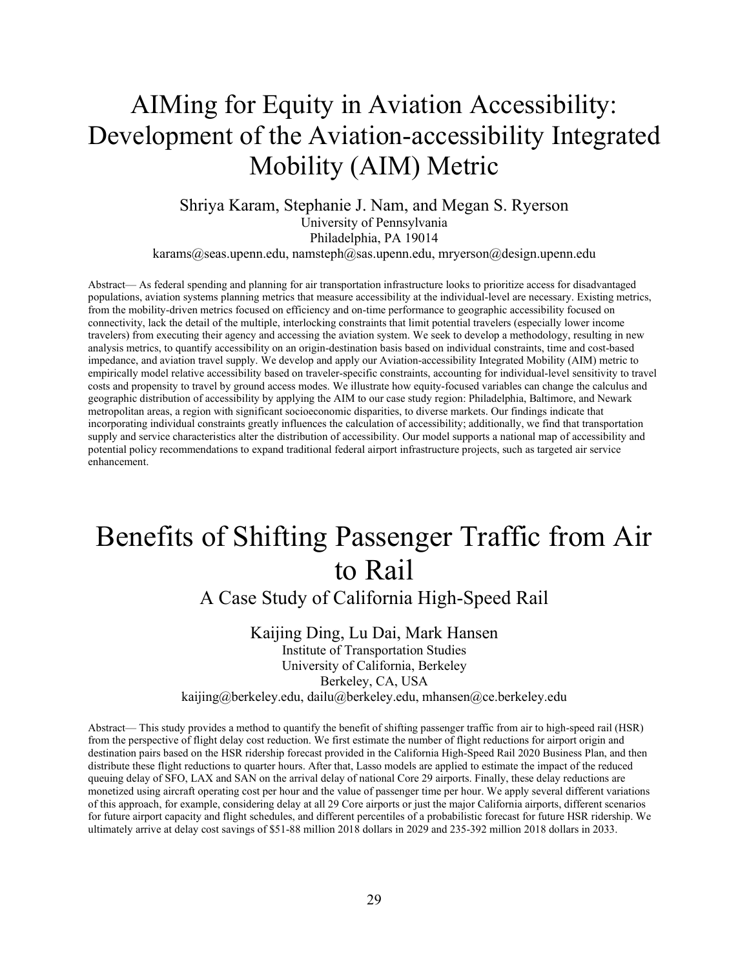#### <span id="page-31-0"></span>AIMing for Equity in Aviation Accessibility: Development of the Aviation-accessibility Integrated Mobility (AIM) Metric

#### Shriya Karam, Stephanie J. Nam, and Megan S. Ryerson University of Pennsylvania Philadelphia, PA 19014

karams@seas.upenn.edu, namsteph@sas.upenn.edu, mryerson@design.upenn.edu

Abstract— As federal spending and planning for air transportation infrastructure looks to prioritize access for disadvantaged populations, aviation systems planning metrics that measure accessibility at the individual-level are necessary. Existing metrics, from the mobility-driven metrics focused on efficiency and on-time performance to geographic accessibility focused on connectivity, lack the detail of the multiple, interlocking constraints that limit potential travelers (especially lower income travelers) from executing their agency and accessing the aviation system. We seek to develop a methodology, resulting in new analysis metrics, to quantify accessibility on an origin-destination basis based on individual constraints, time and cost-based impedance, and aviation travel supply. We develop and apply our Aviation-accessibility Integrated Mobility (AIM) metric to empirically model relative accessibility based on traveler-specific constraints, accounting for individual-level sensitivity to travel costs and propensity to travel by ground access modes. We illustrate how equity-focused variables can change the calculus and geographic distribution of accessibility by applying the AIM to our case study region: Philadelphia, Baltimore, and Newark metropolitan areas, a region with significant socioeconomic disparities, to diverse markets. Our findings indicate that incorporating individual constraints greatly influences the calculation of accessibility; additionally, we find that transportation supply and service characteristics alter the distribution of accessibility. Our model supports a national map of accessibility and potential policy recommendations to expand traditional federal airport infrastructure projects, such as targeted air service enhancement.

## <span id="page-31-1"></span>Benefits of Shifting Passenger Traffic from Air to Rail

A Case Study of California High-Speed Rail

#### Kaijing Ding, Lu Dai, Mark Hansen

Institute of Transportation Studies University of California, Berkeley Berkeley, CA, USA kaijing@berkeley.edu, dailu@berkeley.edu, mhansen@ce.berkeley.edu

Abstract— This study provides a method to quantify the benefit of shifting passenger traffic from air to high-speed rail (HSR) from the perspective of flight delay cost reduction. We first estimate the number of flight reductions for airport origin and destination pairs based on the HSR ridership forecast provided in the California High-Speed Rail 2020 Business Plan, and then distribute these flight reductions to quarter hours. After that, Lasso models are applied to estimate the impact of the reduced queuing delay of SFO, LAX and SAN on the arrival delay of national Core 29 airports. Finally, these delay reductions are monetized using aircraft operating cost per hour and the value of passenger time per hour. We apply several different variations of this approach, for example, considering delay at all 29 Core airports or just the major California airports, different scenarios for future airport capacity and flight schedules, and different percentiles of a probabilistic forecast for future HSR ridership. We ultimately arrive at delay cost savings of \$51-88 million 2018 dollars in 2029 and 235-392 million 2018 dollars in 2033.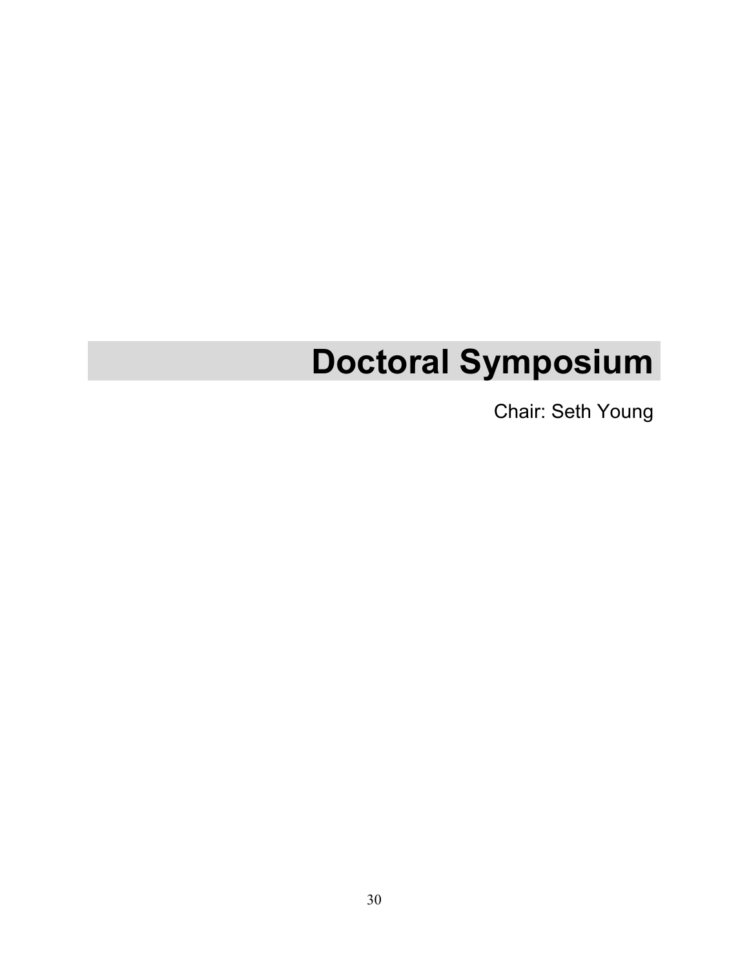# **Doctoral Symposium**

Chair: Seth Young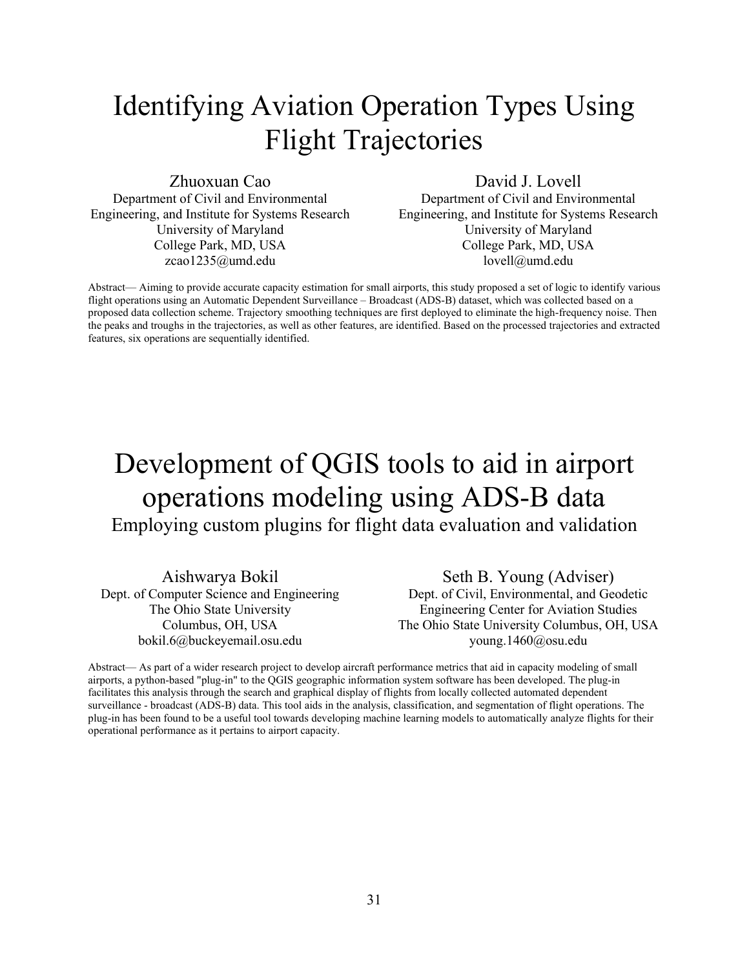## <span id="page-33-0"></span>Identifying Aviation Operation Types Using Flight Trajectories

Zhuoxuan Cao

Department of Civil and Environmental Engineering, and Institute for Systems Research University of Maryland College Park, MD, USA zcao1235@umd.edu

David J. Lovell

Department of Civil and Environmental Engineering, and Institute for Systems Research University of Maryland College Park, MD, USA lovell@umd.edu

Abstract— Aiming to provide accurate capacity estimation for small airports, this study proposed a set of logic to identify various flight operations using an Automatic Dependent Surveillance – Broadcast (ADS-B) dataset, which was collected based on a proposed data collection scheme. Trajectory smoothing techniques are first deployed to eliminate the high-frequency noise. Then the peaks and troughs in the trajectories, as well as other features, are identified. Based on the processed trajectories and extracted features, six operations are sequentially identified.

#### <span id="page-33-1"></span>Development of QGIS tools to aid in airport operations modeling using ADS-B data Employing custom plugins for flight data evaluation and validation

Aishwarya Bokil Dept. of Computer Science and Engineering The Ohio State University Columbus, OH, USA bokil.6@buckeyemail.osu.edu

Seth B. Young (Adviser) Dept. of Civil, Environmental, and Geodetic Engineering Center for Aviation Studies The Ohio State University Columbus, OH, USA young.1460@osu.edu

Abstract— As part of a wider research project to develop aircraft performance metrics that aid in capacity modeling of small airports, a python-based "plug-in" to the QGIS geographic information system software has been developed. The plug-in facilitates this analysis through the search and graphical display of flights from locally collected automated dependent surveillance - broadcast (ADS-B) data. This tool aids in the analysis, classification, and segmentation of flight operations. The plug-in has been found to be a useful tool towards developing machine learning models to automatically analyze flights for their operational performance as it pertains to airport capacity.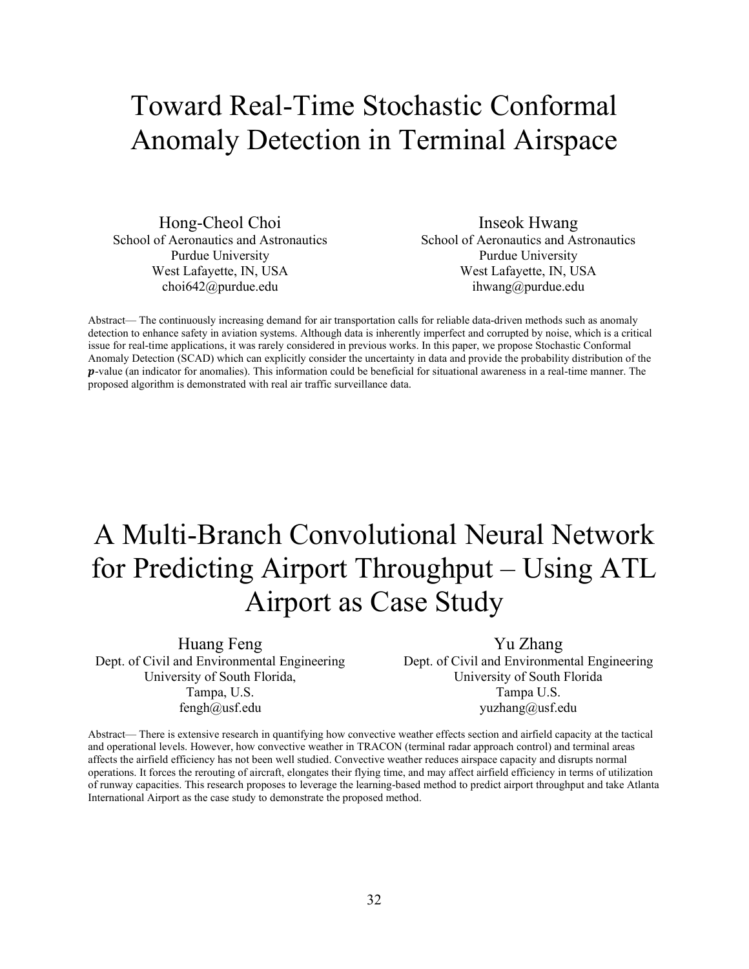### <span id="page-34-0"></span>Toward Real-Time Stochastic Conformal Anomaly Detection in Terminal Airspace

Hong-Cheol Choi School of Aeronautics and Astronautics Purdue University West Lafayette, IN, USA choi642@purdue.edu

Inseok Hwang School of Aeronautics and Astronautics Purdue University West Lafayette, IN, USA ihwang@purdue.edu

Abstract— The continuously increasing demand for air transportation calls for reliable data-driven methods such as anomaly detection to enhance safety in aviation systems. Although data is inherently imperfect and corrupted by noise, which is a critical issue for real-time applications, it was rarely considered in previous works. In this paper, we propose Stochastic Conformal Anomaly Detection (SCAD) which can explicitly consider the uncertainty in data and provide the probability distribution of the  $p$ -value (an indicator for anomalies). This information could be beneficial for situational awareness in a real-time manner. The proposed algorithm is demonstrated with real air traffic surveillance data.

## <span id="page-34-1"></span>A Multi-Branch Convolutional Neural Network for Predicting Airport Throughput – Using ATL Airport as Case Study

Huang Feng Dept. of Civil and Environmental Engineering University of South Florida, Tampa, U.S. fengh@usf.edu

Yu Zhang Dept. of Civil and Environmental Engineering University of South Florida Tampa U.S. yuzhang@usf.edu

Abstract— There is extensive research in quantifying how convective weather effects section and airfield capacity at the tactical and operational levels. However, how convective weather in TRACON (terminal radar approach control) and terminal areas affects the airfield efficiency has not been well studied. Convective weather reduces airspace capacity and disrupts normal operations. It forces the rerouting of aircraft, elongates their flying time, and may affect airfield efficiency in terms of utilization of runway capacities. This research proposes to leverage the learning-based method to predict airport throughput and take Atlanta International Airport as the case study to demonstrate the proposed method.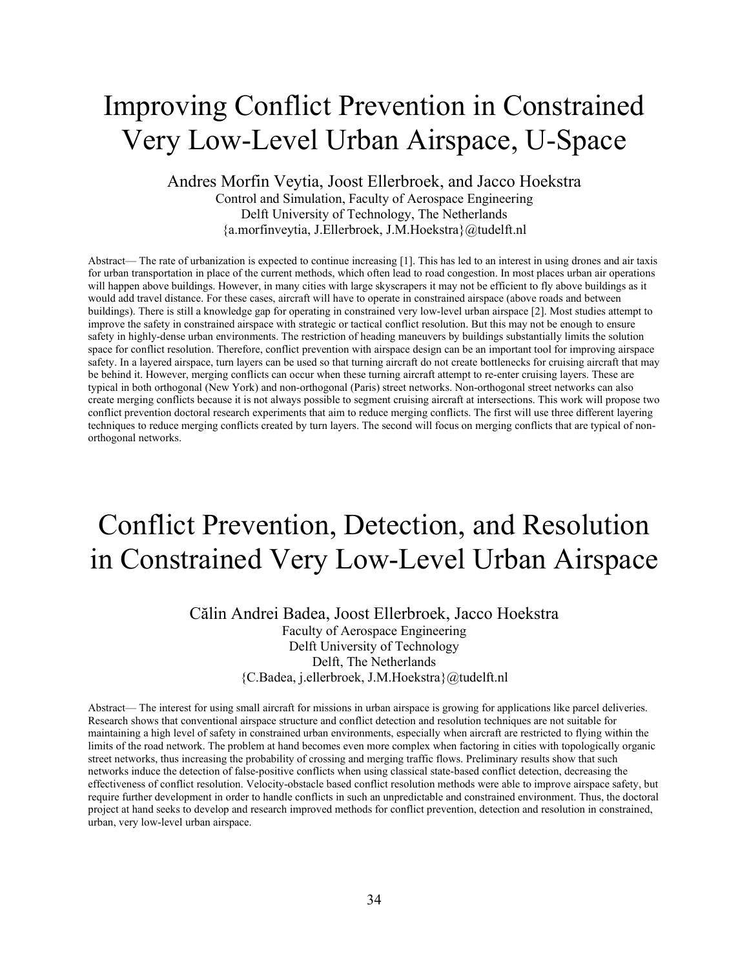#### <span id="page-35-0"></span>Improving Conflict Prevention in Constrained Very Low-Level Urban Airspace, U-Space

#### Andres Morfin Veytia, Joost Ellerbroek, and Jacco Hoekstra Control and Simulation, Faculty of Aerospace Engineering Delft University of Technology, The Netherlands {a.morfinveytia, J.Ellerbroek, J.M.Hoekstra}@tudelft.nl

Abstract— The rate of urbanization is expected to continue increasing [1]. This has led to an interest in using drones and air taxis for urban transportation in place of the current methods, which often lead to road congestion. In most places urban air operations will happen above buildings. However, in many cities with large skyscrapers it may not be efficient to fly above buildings as it would add travel distance. For these cases, aircraft will have to operate in constrained airspace (above roads and between buildings). There is still a knowledge gap for operating in constrained very low-level urban airspace [2]. Most studies attempt to improve the safety in constrained airspace with strategic or tactical conflict resolution. But this may not be enough to ensure safety in highly-dense urban environments. The restriction of heading maneuvers by buildings substantially limits the solution space for conflict resolution. Therefore, conflict prevention with airspace design can be an important tool for improving airspace safety. In a layered airspace, turn layers can be used so that turning aircraft do not create bottlenecks for cruising aircraft that may be behind it. However, merging conflicts can occur when these turning aircraft attempt to re-enter cruising layers. These are typical in both orthogonal (New York) and non-orthogonal (Paris) street networks. Non-orthogonal street networks can also create merging conflicts because it is not always possible to segment cruising aircraft at intersections. This work will propose two conflict prevention doctoral research experiments that aim to reduce merging conflicts. The first will use three different layering techniques to reduce merging conflicts created by turn layers. The second will focus on merging conflicts that are typical of nonorthogonal networks.

#### <span id="page-35-1"></span>Conflict Prevention, Detection, and Resolution in Constrained Very Low-Level Urban Airspace

Călin Andrei Badea, Joost Ellerbroek, Jacco Hoekstra Faculty of Aerospace Engineering Delft University of Technology Delft, The Netherlands {C.Badea, j.ellerbroek, J.M.Hoekstra}@tudelft.nl

Abstract— The interest for using small aircraft for missions in urban airspace is growing for applications like parcel deliveries. Research shows that conventional airspace structure and conflict detection and resolution techniques are not suitable for maintaining a high level of safety in constrained urban environments, especially when aircraft are restricted to flying within the limits of the road network. The problem at hand becomes even more complex when factoring in cities with topologically organic street networks, thus increasing the probability of crossing and merging traffic flows. Preliminary results show that such networks induce the detection of false-positive conflicts when using classical state-based conflict detection, decreasing the effectiveness of conflict resolution. Velocity-obstacle based conflict resolution methods were able to improve airspace safety, but require further development in order to handle conflicts in such an unpredictable and constrained environment. Thus, the doctoral project at hand seeks to develop and research improved methods for conflict prevention, detection and resolution in constrained, urban, very low-level urban airspace.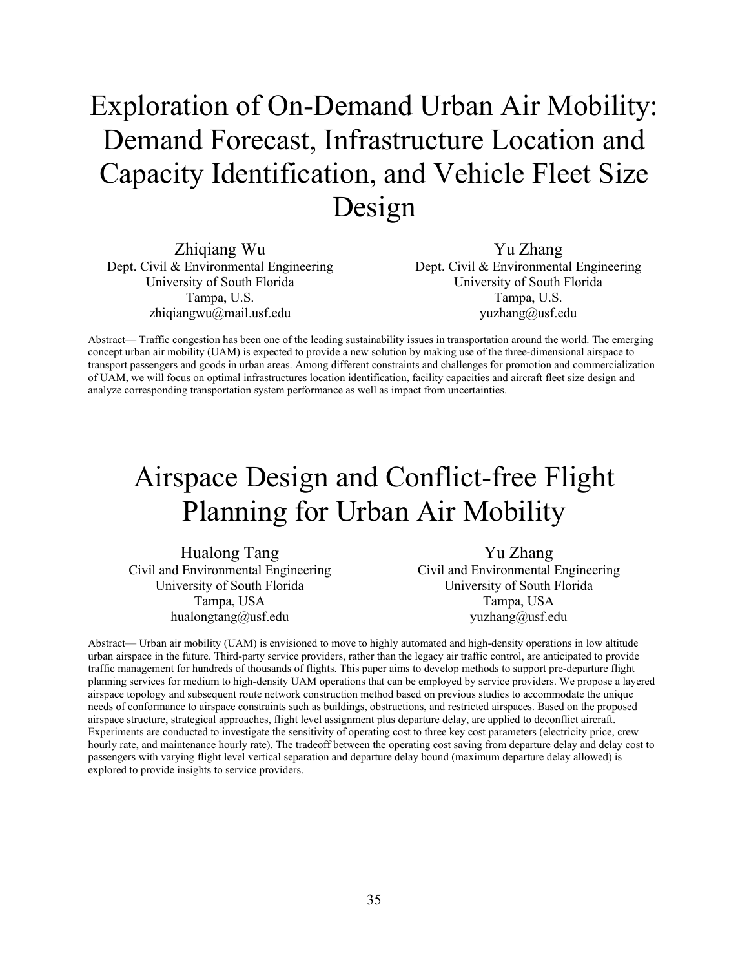## <span id="page-36-0"></span>Exploration of On-Demand Urban Air Mobility: Demand Forecast, Infrastructure Location and Capacity Identification, and Vehicle Fleet Size Design

Zhiqiang Wu Dept. Civil & Environmental Engineering University of South Florida Tampa, U.S. zhiqiangwu@mail.usf.edu

Yu Zhang Dept. Civil & Environmental Engineering University of South Florida Tampa, U.S. yuzhang@usf.edu

Abstract— Traffic congestion has been one of the leading sustainability issues in transportation around the world. The emerging concept urban air mobility (UAM) is expected to provide a new solution by making use of the three-dimensional airspace to transport passengers and goods in urban areas. Among different constraints and challenges for promotion and commercialization of UAM, we will focus on optimal infrastructures location identification, facility capacities and aircraft fleet size design and analyze corresponding transportation system performance as well as impact from uncertainties.

#### <span id="page-36-1"></span>Airspace Design and Conflict-free Flight Planning for Urban Air Mobility

Hualong Tang Civil and Environmental Engineering University of South Florida Tampa, USA hualongtang@usf.edu

Yu Zhang Civil and Environmental Engineering University of South Florida Tampa, USA yuzhang@usf.edu

Abstract— Urban air mobility (UAM) is envisioned to move to highly automated and high-density operations in low altitude urban airspace in the future. Third-party service providers, rather than the legacy air traffic control, are anticipated to provide traffic management for hundreds of thousands of flights. This paper aims to develop methods to support pre-departure flight planning services for medium to high-density UAM operations that can be employed by service providers. We propose a layered airspace topology and subsequent route network construction method based on previous studies to accommodate the unique needs of conformance to airspace constraints such as buildings, obstructions, and restricted airspaces. Based on the proposed airspace structure, strategical approaches, flight level assignment plus departure delay, are applied to deconflict aircraft. Experiments are conducted to investigate the sensitivity of operating cost to three key cost parameters (electricity price, crew hourly rate, and maintenance hourly rate). The tradeoff between the operating cost saving from departure delay and delay cost to passengers with varying flight level vertical separation and departure delay bound (maximum departure delay allowed) is explored to provide insights to service providers.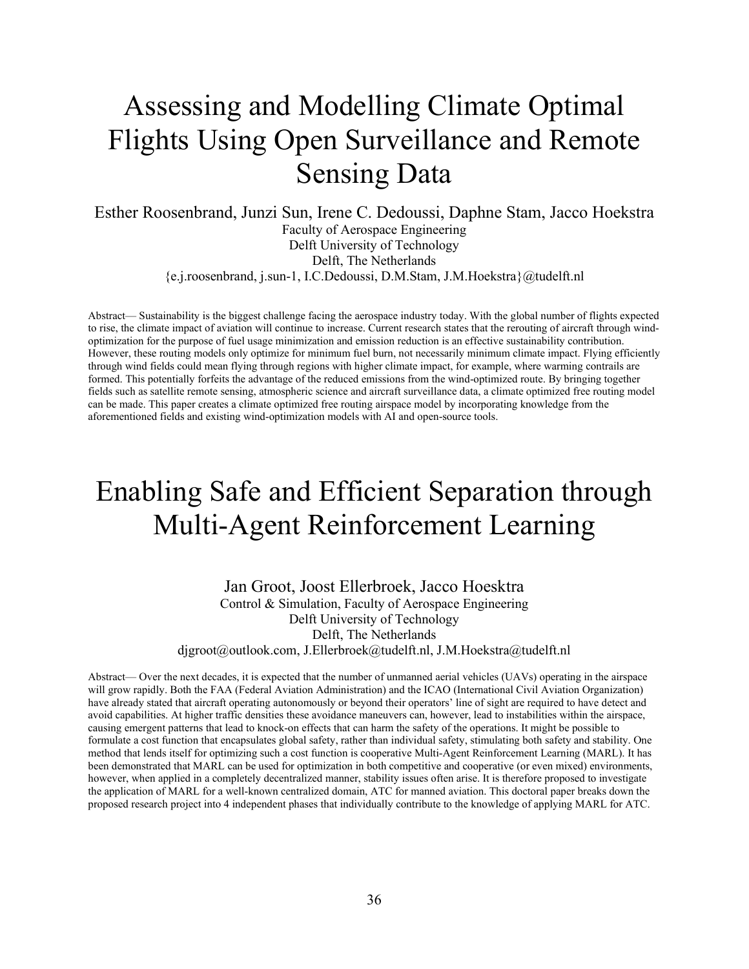## <span id="page-37-0"></span>Assessing and Modelling Climate Optimal Flights Using Open Surveillance and Remote Sensing Data

Esther Roosenbrand, Junzi Sun, Irene C. Dedoussi, Daphne Stam, Jacco Hoekstra Faculty of Aerospace Engineering Delft University of Technology Delft, The Netherlands {e.j.roosenbrand, j.sun-1, I.C.Dedoussi, D.M.Stam, J.M.Hoekstra}@tudelft.nl

Abstract— Sustainability is the biggest challenge facing the aerospace industry today. With the global number of flights expected to rise, the climate impact of aviation will continue to increase. Current research states that the rerouting of aircraft through windoptimization for the purpose of fuel usage minimization and emission reduction is an effective sustainability contribution. However, these routing models only optimize for minimum fuel burn, not necessarily minimum climate impact. Flying efficiently through wind fields could mean flying through regions with higher climate impact, for example, where warming contrails are formed. This potentially forfeits the advantage of the reduced emissions from the wind-optimized route. By bringing together fields such as satellite remote sensing, atmospheric science and aircraft surveillance data, a climate optimized free routing model can be made. This paper creates a climate optimized free routing airspace model by incorporating knowledge from the aforementioned fields and existing wind-optimization models with AI and open-source tools.

#### <span id="page-37-1"></span>Enabling Safe and Efficient Separation through Multi-Agent Reinforcement Learning

Jan Groot, Joost Ellerbroek, Jacco Hoesktra Control & Simulation, Faculty of Aerospace Engineering Delft University of Technology Delft, The Netherlands djgroot@outlook.com, J.Ellerbroek@tudelft.nl, J.M.Hoekstra@tudelft.nl

Abstract— Over the next decades, it is expected that the number of unmanned aerial vehicles (UAVs) operating in the airspace will grow rapidly. Both the FAA (Federal Aviation Administration) and the ICAO (International Civil Aviation Organization) have already stated that aircraft operating autonomously or beyond their operators' line of sight are required to have detect and avoid capabilities. At higher traffic densities these avoidance maneuvers can, however, lead to instabilities within the airspace, causing emergent patterns that lead to knock-on effects that can harm the safety of the operations. It might be possible to formulate a cost function that encapsulates global safety, rather than individual safety, stimulating both safety and stability. One method that lends itself for optimizing such a cost function is cooperative Multi-Agent Reinforcement Learning (MARL). It has been demonstrated that MARL can be used for optimization in both competitive and cooperative (or even mixed) environments, however, when applied in a completely decentralized manner, stability issues often arise. It is therefore proposed to investigate the application of MARL for a well-known centralized domain, ATC for manned aviation. This doctoral paper breaks down the proposed research project into 4 independent phases that individually contribute to the knowledge of applying MARL for ATC.